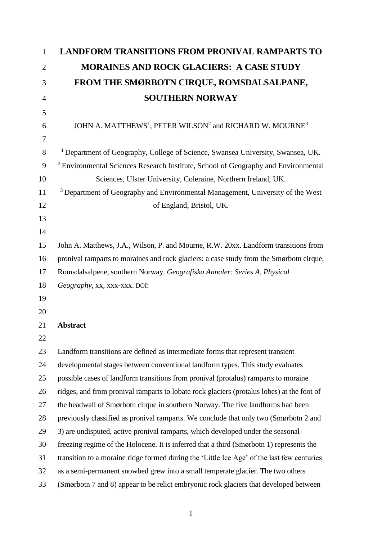| 1              | <b>LANDFORM TRANSITIONS FROM PRONIVAL RAMPARTS TO</b>                                         |
|----------------|-----------------------------------------------------------------------------------------------|
| $\overline{2}$ | <b>MORAINES AND ROCK GLACIERS: A CASE STUDY</b>                                               |
| 3              | FROM THE SMØRBOTN CIRQUE, ROMSDALSALPANE,                                                     |
| $\overline{4}$ | <b>SOUTHERN NORWAY</b>                                                                        |
| 5              |                                                                                               |
| 6              | JOHN A. MATTHEWS <sup>1</sup> , PETER WILSON <sup>2</sup> and RICHARD W. MOURNE <sup>3</sup>  |
| 7              |                                                                                               |
| 8              | <sup>1</sup> Department of Geography, College of Science, Swansea University, Swansea, UK.    |
| 9              | <sup>2</sup> Environmental Sciences Research Institute, School of Geography and Environmental |
| 10             | Sciences, Ulster University, Coleraine, Northern Ireland, UK.                                 |
| 11             | <sup>3</sup> Department of Geography and Environmental Management, University of the West     |
| 12             | of England, Bristol, UK.                                                                      |
| 13             |                                                                                               |
| 14             |                                                                                               |
| 15             | John A. Matthews, J.A., Wilson, P. and Mourne, R.W. 20xx. Landform transitions from           |
| 16             | pronival ramparts to moraines and rock glaciers: a case study from the Smørbotn cirque,       |
| 17             | Romsdalsalpene, southern Norway. Geografiska Annaler: Series A, Physical                      |
| 18             | Geography, xx, xxx-xxx. DOI:                                                                  |
| 19             |                                                                                               |
| 20             |                                                                                               |
| 21             | <b>Abstract</b>                                                                               |
| 22             |                                                                                               |
| 23             | Landform transitions are defined as intermediate forms that represent transient               |
| 24             | developmental stages between conventional landform types. This study evaluates                |
| 25             | possible cases of landform transitions from pronival (protalus) ramparts to moraine           |
| 26             | ridges, and from pronival ramparts to lobate rock glaciers (protalus lobes) at the foot of    |
| 27             | the headwall of Smørbotn cirque in southern Norway. The five landforms had been               |
| 28             | previously classified as pronival ramparts. We conclude that only two (Smørbotn 2 and         |
| 29             | 3) are undisputed, active pronival ramparts, which developed under the seasonal-              |
| 30             | freezing regime of the Holocene. It is inferred that a third (Smørbotn 1) represents the      |
| 31             | transition to a moraine ridge formed during the 'Little Ice Age' of the last few centuries    |
| 32             | as a semi-permanent snowbed grew into a small temperate glacier. The two others               |
| 33             | (Smørbotn 7 and 8) appear to be relict embryonic rock glaciers that developed between         |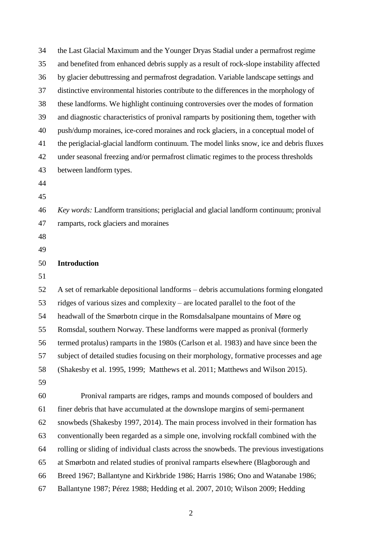| 34 | the Last Glacial Maximum and the Younger Dryas Stadial under a permafrost regime         |
|----|------------------------------------------------------------------------------------------|
| 35 | and benefited from enhanced debris supply as a result of rock-slope instability affected |
| 36 | by glacier debuttressing and permafrost degradation. Variable landscape settings and     |
| 37 | distinctive environmental histories contribute to the differences in the morphology of   |
| 38 | these landforms. We highlight continuing controversies over the modes of formation       |
| 39 | and diagnostic characteristics of pronival ramparts by positioning them, together with   |
| 40 | push/dump moraines, ice-cored moraines and rock glaciers, in a conceptual model of       |
| 41 | the periglacial-glacial landform continuum. The model links snow, ice and debris fluxes  |
| 42 | under seasonal freezing and/or permafrost climatic regimes to the process thresholds     |
| 43 | between landform types.                                                                  |
| 44 |                                                                                          |
| 45 |                                                                                          |
| 46 | Key words: Landform transitions; periglacial and glacial landform continuum; pronival    |
| 47 | ramparts, rock glaciers and moraines                                                     |
| 48 |                                                                                          |
| 49 |                                                                                          |
| 50 | <b>Introduction</b>                                                                      |
| 51 |                                                                                          |
| 52 | A set of remarkable depositional landforms – debris accumulations forming elongated      |
| 53 | ridges of various sizes and complexity – are located parallel to the foot of the         |
| 54 | headwall of the Smørbotn cirque in the Romsdalsalpane mountains of Møre og               |
| 55 | Romsdal, southern Norway. These landforms were mapped as pronival (formerly              |
| 56 | termed protalus) ramparts in the 1980s (Carlson et al. 1983) and have since been the     |
| 57 | subject of detailed studies focusing on their morphology, formative processes and age    |
| 58 | (Shakesby et al. 1995, 1999; Matthews et al. 2011; Matthews and Wilson 2015).            |
| 59 |                                                                                          |
| 60 | Pronival ramparts are ridges, ramps and mounds composed of boulders and                  |
| 61 | finer debris that have accumulated at the downslope margins of semi-permanent            |
| 62 | snowbeds (Shakesby 1997, 2014). The main process involved in their formation has         |
| 63 | conventionally been regarded as a simple one, involving rockfall combined with the       |
| 64 | rolling or sliding of individual clasts across the snowbeds. The previous investigations |
| 65 | at Smørbotn and related studies of pronival ramparts elsewhere (Blagborough and          |
| 66 | Breed 1967; Ballantyne and Kirkbride 1986; Harris 1986; Ono and Watanabe 1986;           |
| 67 | Ballantyne 1987; Pérez 1988; Hedding et al. 2007, 2010; Wilson 2009; Hedding             |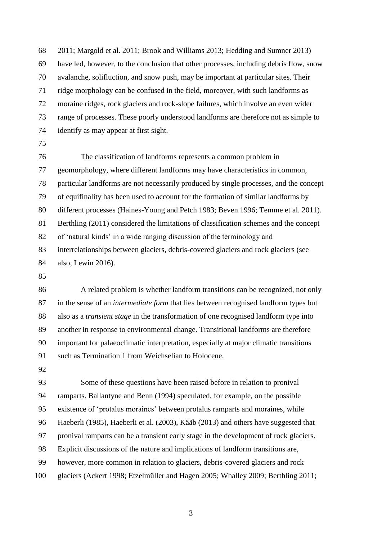2011; Margold et al. 2011; Brook and Williams 2013; Hedding and Sumner 2013) have led, however, to the conclusion that other processes, including debris flow, snow avalanche, solifluction, and snow push, may be important at particular sites. Their ridge morphology can be confused in the field, moreover, with such landforms as moraine ridges, rock glaciers and rock-slope failures, which involve an even wider range of processes. These poorly understood landforms are therefore not as simple to identify as may appear at first sight.

 The classification of landforms represents a common problem in geomorphology, where different landforms may have characteristics in common, particular landforms are not necessarily produced by single processes, and the concept of equifinality has been used to account for the formation of similar landforms by different processes (Haines-Young and Petch 1983; Beven 1996; Temme et al. 2011). Berthling (2011) considered the limitations of classification schemes and the concept of 'natural kinds' in a wide ranging discussion of the terminology and interrelationships between glaciers, debris-covered glaciers and rock glaciers (see also, Lewin 2016).

 A related problem is whether landform transitions can be recognized, not only in the sense of an *intermediate form* that lies between recognised landform types but also as a *transient stage* in the transformation of one recognised landform type into another in response to environmental change. Transitional landforms are therefore important for palaeoclimatic interpretation, especially at major climatic transitions such as Termination 1 from Weichselian to Holocene.

 Some of these questions have been raised before in relation to pronival ramparts. Ballantyne and Benn (1994) speculated, for example, on the possible existence of 'protalus moraines' between protalus ramparts and moraines, while Haeberli (1985), Haeberli et al. (2003), Kääb (2013) and others have suggested that pronival ramparts can be a transient early stage in the development of rock glaciers. Explicit discussions of the nature and implications of landform transitions are, however, more common in relation to glaciers, debris-covered glaciers and rock glaciers (Ackert 1998; Etzelmüller and Hagen 2005; Whalley 2009; Berthling 2011;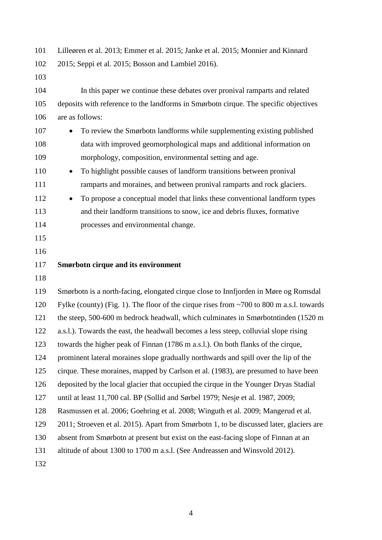Lilleøren et al. 2013; Emmer et al. 2015; Janke et al. 2015; Monnier and Kinnard 2015; Seppi et al. 2015; Bosson and Lambiel 2016).

 In this paper we continue these debates over pronival ramparts and related deposits with reference to the landforms in Smørbotn cirque. The specific objectives are as follows:

- 107 To review the Smørbotn landforms while supplementing existing published data with improved geomorphological maps and additional information on morphology, composition, environmental setting and age.
- 110 To highlight possible causes of landform transitions between pronival ramparts and moraines, and between pronival ramparts and rock glaciers.
- To propose a conceptual model that links these conventional landform types and their landform transitions to snow, ice and debris fluxes, formative processes and environmental change.
- 
- 
- **Smørbotn cirque and its environment**
- 

 Smørbotn is a north-facing, elongated cirque close to Innfjorden in Møre og Romsdal Fylke (county) (Fig. 1). The floor of the cirque rises from ~700 to 800 m a.s.l. towards the steep, 500-600 m bedrock headwall, which culminates in Smørbotntinden (1520 m a.s.l.). Towards the east, the headwall becomes a less steep, colluvial slope rising towards the higher peak of Finnan (1786 m a.s.l.). On both flanks of the cirque, prominent lateral moraines slope gradually northwards and spill over the lip of the cirque. These moraines, mapped by Carlson et al. (1983), are presumed to have been deposited by the local glacier that occupied the cirque in the Younger Dryas Stadial until at least 11,700 cal. BP (Sollid and Sørbel 1979; Nesje et al. 1987, 2009; Rasmussen et al. 2006; Goehring et al. 2008; Winguth et al. 2009; Mangerud et al. 2011; Stroeven et al. 2015). Apart from Smørbotn 1, to be discussed later, glaciers are absent from Smørbotn at present but exist on the east-facing slope of Finnan at an altitude of about 1300 to 1700 m a.s.l. (See Andreassen and Winsvold 2012).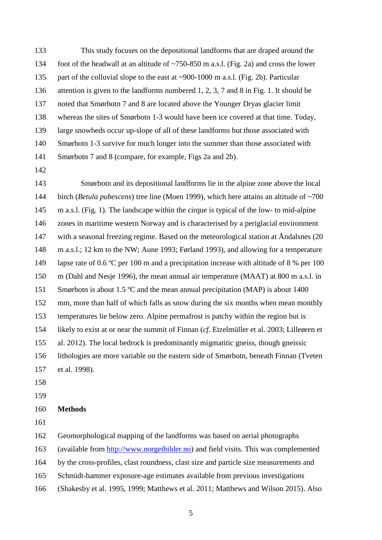- This study focuses on the depositional landforms that are draped around the foot of the headwall at an altitude of ~750-850 m a.s.l. (Fig. 2a) and cross the lower 135 part of the colluvial slope to the east at ~900-1000 m a.s.l. (Fig. 2b). Particular attention is given to the landforms numbered 1, 2, 3, 7 and 8 in Fig. 1. It should be noted that Smørbotn 7 and 8 are located above the Younger Dryas glacier limit whereas the sites of Smørbotn 1-3 would have been ice covered at that time. Today, large snowbeds occur up-slope of all of these landforms but those associated with Smørbotn 1-3 survive for much longer into the summer than those associated with Smørbotn 7 and 8 (compare, for example, Figs 2a and 2b).
- 

 Smørbotn and its depositional landforms lie in the alpine zone above the local birch (*Betula pubescens*) tree line (Moen 1999), which here attains an altitude of ~700 m a.s.l. (Fig. 1). The landscape within the cirque is typical of the low- to mid-alpine zones in maritime western Norway and is characterised by a periglacial environment with a seasonal freezing regime. Based on the meteorological station at Åndalsnes (20 m a.s.l.; 12 km to the NW; Aune 1993; Førland 1993), and allowing for a temperature lapse rate of 0.6 ºC per 100 m and a precipitation increase with altitude of 8 % per 100 m (Dahl and Nesje 1996), the mean annual air temperature (MAAT) at 800 m a.s.l. in Smørbotn is about 1.5 ºC and the mean annual precipitation (MAP) is about 1400 mm, more than half of which falls as snow during the six months when mean monthly temperatures lie below zero. Alpine permafrost is patchy within the region but is likely to exist at or near the summit of Finnan (*cf*. Etzelmüller et al. 2003; Lilleøren et al. 2012). The local bedrock is predominantly migmatitic gneiss, though gneissic lithologies are more variable on the eastern side of Smørbotn, beneath Finnan (Tveten et al. 1998).

- 
- 

### **Methods**

Geomorphological mapping of the landforms was based on aerial photographs

(available from [http://www.norgeibilder.no\)](http://www.norgeibilder.no/) and field visits. This was complemented

- by the cross-profiles, clast roundness, clast size and particle size measurements and
- Schmidt-hammer exposure-age estimates available from previous investigations
- (Shakesby et al. 1995, 1999; Matthews et al. 2011; Matthews and Wilson 2015). Also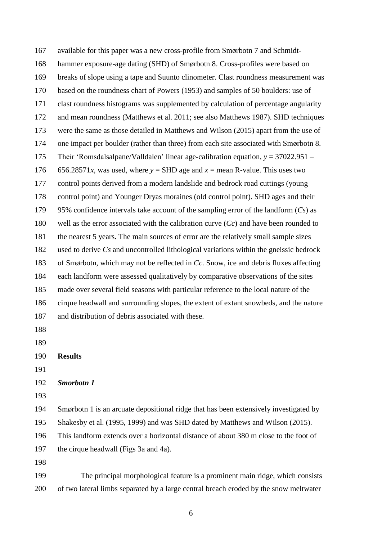available for this paper was a new cross-profile from Smørbotn 7 and Schmidt- hammer exposure-age dating (SHD) of Smørbotn 8. Cross-profiles were based on breaks of slope using a tape and Suunto clinometer. Clast roundness measurement was based on the roundness chart of Powers (1953) and samples of 50 boulders: use of clast roundness histograms was supplemented by calculation of percentage angularity and mean roundness (Matthews et al. 2011; see also Matthews 1987). SHD techniques were the same as those detailed in Matthews and Wilson (2015) apart from the use of one impact per boulder (rather than three) from each site associated with Smørbotn 8. Their 'Romsdalsalpane/Valldalen' linear age-calibration equation, *y* = 37022.951 – 176 656.28571*x*, was used, where  $y =$  SHD age and  $x =$  mean R-value. This uses two control points derived from a modern landslide and bedrock road cuttings (young control point) and Younger Dryas moraines (old control point). SHD ages and their 95% confidence intervals take account of the sampling error of the landform (*Cs*) as well as the error associated with the calibration curve (*Cc*) and have been rounded to the nearest 5 years. The main sources of error are the relatively small sample sizes used to derive *Cs* and uncontrolled lithological variations within the gneissic bedrock of Smørbotn, which may not be reflected in *Cc*. Snow, ice and debris fluxes affecting each landform were assessed qualitatively by comparative observations of the sites made over several field seasons with particular reference to the local nature of the cirque headwall and surrounding slopes, the extent of extant snowbeds, and the nature and distribution of debris associated with these. **Results** *Smorbotn 1* Smørbotn 1 is an arcuate depositional ridge that has been extensively investigated by Shakesby et al. (1995, 1999) and was SHD dated by Matthews and Wilson (2015). This landform extends over a horizontal distance of about 380 m close to the foot of the cirque headwall (Figs 3a and 4a). The principal morphological feature is a prominent main ridge, which consists of two lateral limbs separated by a large central breach eroded by the snow meltwater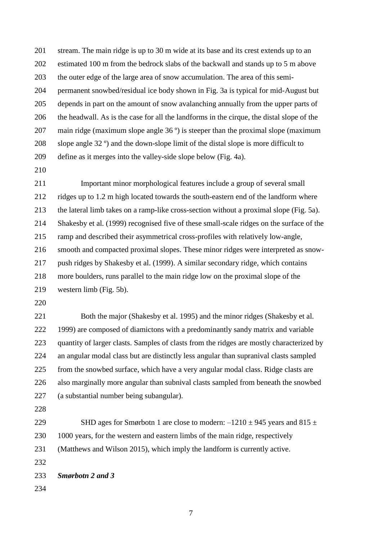stream. The main ridge is up to 30 m wide at its base and its crest extends up to an estimated 100 m from the bedrock slabs of the backwall and stands up to 5 m above the outer edge of the large area of snow accumulation. The area of this semi- permanent snowbed/residual ice body shown in Fig. 3a is typical for mid-August but depends in part on the amount of snow avalanching annually from the upper parts of the headwall. As is the case for all the landforms in the cirque, the distal slope of the main ridge (maximum slope angle 36 º) is steeper than the proximal slope (maximum slope angle 32 º) and the down-slope limit of the distal slope is more difficult to define as it merges into the valley-side slope below (Fig. 4a).

 Important minor morphological features include a group of several small ridges up to 1.2 m high located towards the south-eastern end of the landform where the lateral limb takes on a ramp-like cross-section without a proximal slope (Fig. 5a). Shakesby et al. (1999) recognised five of these small-scale ridges on the surface of the ramp and described their asymmetrical cross-profiles with relatively low-angle, smooth and compacted proximal slopes. These minor ridges were interpreted as snow- push ridges by Shakesby et al. (1999). A similar secondary ridge, which contains more boulders, runs parallel to the main ridge low on the proximal slope of the western limb (Fig. 5b).

 Both the major (Shakesby et al. 1995) and the minor ridges (Shakesby et al. 1999) are composed of diamictons with a predominantly sandy matrix and variable quantity of larger clasts. Samples of clasts from the ridges are mostly characterized by an angular modal class but are distinctly less angular than supranival clasts sampled from the snowbed surface, which have a very angular modal class. Ridge clasts are also marginally more angular than subnival clasts sampled from beneath the snowbed (a substantial number being subangular).

229 SHD ages for Smørbotn 1 are close to modern:  $-1210 \pm 945$  years and 815  $\pm$  1000 years, for the western and eastern limbs of the main ridge, respectively (Matthews and Wilson 2015), which imply the landform is currently active. 

*Smørbotn 2 and 3*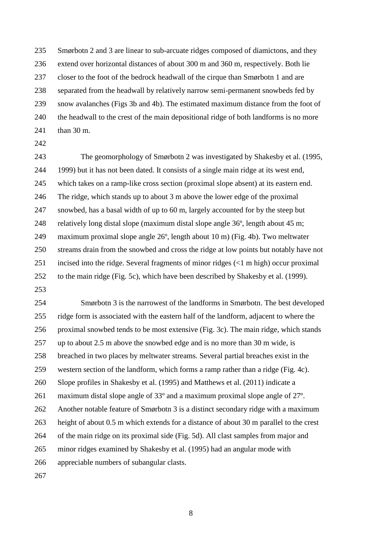Smørbotn 2 and 3 are linear to sub-arcuate ridges composed of diamictons, and they extend over horizontal distances of about 300 m and 360 m, respectively. Both lie closer to the foot of the bedrock headwall of the cirque than Smørbotn 1 and are separated from the headwall by relatively narrow semi-permanent snowbeds fed by snow avalanches (Figs 3b and 4b). The estimated maximum distance from the foot of the headwall to the crest of the main depositional ridge of both landforms is no more than 30 m.

 The geomorphology of Smørbotn 2 was investigated by Shakesby et al. (1995, 1999) but it has not been dated. It consists of a single main ridge at its west end, which takes on a ramp-like cross section (proximal slope absent) at its eastern end. The ridge, which stands up to about 3 m above the lower edge of the proximal snowbed, has a basal width of up to 60 m, largely accounted for by the steep but relatively long distal slope (maximum distal slope angle 36º, length about 45 m; maximum proximal slope angle 26º, length about 10 m) (Fig. 4b). Two meltwater streams drain from the snowbed and cross the ridge at low points but notably have not incised into the ridge. Several fragments of minor ridges (<1 m high) occur proximal to the main ridge (Fig. 5c), which have been described by Shakesby et al. (1999).

 Smørbotn 3 is the narrowest of the landforms in Smørbotn. The best developed ridge form is associated with the eastern half of the landform, adjacent to where the proximal snowbed tends to be most extensive (Fig. 3c). The main ridge, which stands up to about 2.5 m above the snowbed edge and is no more than 30 m wide, is breached in two places by meltwater streams. Several partial breaches exist in the western section of the landform, which forms a ramp rather than a ridge (Fig. 4c). Slope profiles in Shakesby et al. (1995) and Matthews et al. (2011) indicate a maximum distal slope angle of 33º and a maximum proximal slope angle of 27º. Another notable feature of Smørbotn 3 is a distinct secondary ridge with a maximum height of about 0.5 m which extends for a distance of about 30 m parallel to the crest of the main ridge on its proximal side (Fig. 5d). All clast samples from major and minor ridges examined by Shakesby et al. (1995) had an angular mode with appreciable numbers of subangular clasts.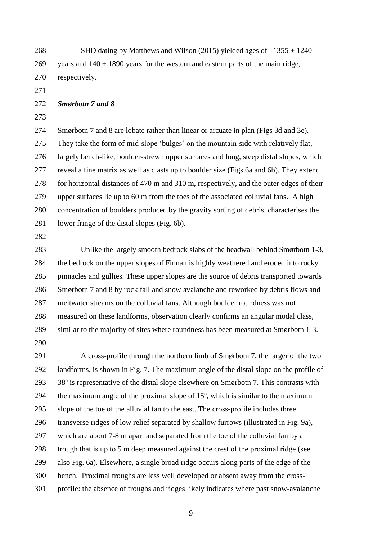268 SHD dating by Matthews and Wilson (2015) yielded ages of  $-1355 \pm 1240$ 269 years and  $140 \pm 1890$  years for the western and eastern parts of the main ridge, respectively.

*Smørbotn 7 and 8*

 Smørbotn 7 and 8 are lobate rather than linear or arcuate in plan (Figs 3d and 3e). They take the form of mid-slope 'bulges' on the mountain-side with relatively flat, largely bench-like, boulder-strewn upper surfaces and long, steep distal slopes, which reveal a fine matrix as well as clasts up to boulder size (Figs 6a and 6b). They extend for horizontal distances of 470 m and 310 m, respectively, and the outer edges of their upper surfaces lie up to 60 m from the toes of the associated colluvial fans. A high concentration of boulders produced by the gravity sorting of debris, characterises the lower fringe of the distal slopes (Fig. 6b).

 Unlike the largely smooth bedrock slabs of the headwall behind Smørbotn 1-3, the bedrock on the upper slopes of Finnan is highly weathered and eroded into rocky pinnacles and gullies. These upper slopes are the source of debris transported towards Smørbotn 7 and 8 by rock fall and snow avalanche and reworked by debris flows and meltwater streams on the colluvial fans. Although boulder roundness was not measured on these landforms, observation clearly confirms an angular modal class, similar to the majority of sites where roundness has been measured at Smørbotn 1-3. 

 A cross-profile through the northern limb of Smørbotn 7, the larger of the two landforms, is shown in Fig. 7. The maximum angle of the distal slope on the profile of 38º is representative of the distal slope elsewhere on Smørbotn 7. This contrasts with the maximum angle of the proximal slope of 15º, which is similar to the maximum slope of the toe of the alluvial fan to the east. The cross-profile includes three transverse ridges of low relief separated by shallow furrows (illustrated in Fig. 9a), which are about 7-8 m apart and separated from the toe of the colluvial fan by a trough that is up to 5 m deep measured against the crest of the proximal ridge (see also Fig. 6a). Elsewhere, a single broad ridge occurs along parts of the edge of the bench. Proximal troughs are less well developed or absent away from the cross-profile: the absence of troughs and ridges likely indicates where past snow-avalanche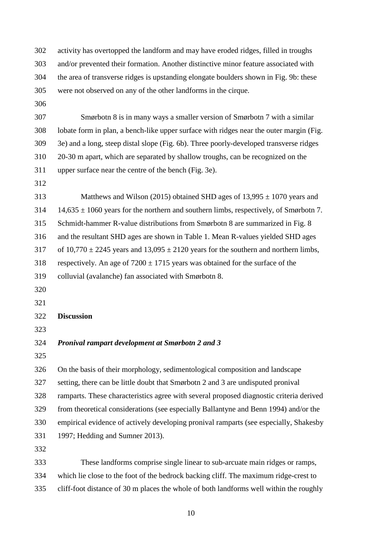activity has overtopped the landform and may have eroded ridges, filled in troughs and/or prevented their formation. Another distinctive minor feature associated with the area of transverse ridges is upstanding elongate boulders shown in Fig. 9b: these were not observed on any of the other landforms in the cirque.

 Smørbotn 8 is in many ways a smaller version of Smørbotn 7 with a similar lobate form in plan, a bench-like upper surface with ridges near the outer margin (Fig. 3e) and a long, steep distal slope (Fig. 6b). Three poorly-developed transverse ridges 20-30 m apart, which are separated by shallow troughs, can be recognized on the upper surface near the centre of the bench (Fig. 3e).

313 Matthews and Wilson (2015) obtained SHD ages of  $13,995 \pm 1070$  years and 14,635  $\pm$  1060 years for the northern and southern limbs, respectively, of Smørbotn 7. Schmidt-hammer R-value distributions from Smørbotn 8 are summarized in Fig. 8 and the resultant SHD ages are shown in Table 1. Mean R-values yielded SHD ages 317 of  $10,770 \pm 2245$  years and  $13,095 \pm 2120$  years for the southern and northern limbs, 318 respectively. An age of  $7200 \pm 1715$  years was obtained for the surface of the colluvial (avalanche) fan associated with Smørbotn 8.

- 
- 

## **Discussion**

## *Pronival rampart development at Smørbotn 2 and 3*

 On the basis of their morphology, sedimentological composition and landscape setting, there can be little doubt that Smørbotn 2 and 3 are undisputed pronival

ramparts. These characteristics agree with several proposed diagnostic criteria derived

from theoretical considerations (see especially Ballantyne and Benn 1994) and/or the

 empirical evidence of actively developing pronival ramparts (see especially, Shakesby 1997; Hedding and Sumner 2013).

 These landforms comprise single linear to sub-arcuate main ridges or ramps, which lie close to the foot of the bedrock backing cliff. The maximum ridge-crest to cliff-foot distance of 30 m places the whole of both landforms well within the roughly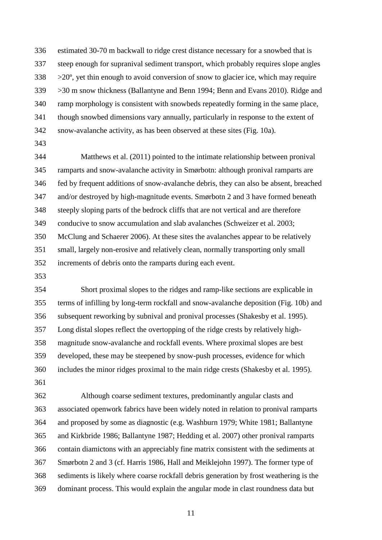estimated 30-70 m backwall to ridge crest distance necessary for a snowbed that is steep enough for supranival sediment transport, which probably requires slope angles  $338 \rightarrow 20^\circ$ , yet thin enough to avoid conversion of snow to glacier ice, which may require >30 m snow thickness (Ballantyne and Benn 1994; Benn and Evans 2010). Ridge and ramp morphology is consistent with snowbeds repeatedly forming in the same place, though snowbed dimensions vary annually, particularly in response to the extent of snow-avalanche activity, as has been observed at these sites (Fig. 10a).

 Matthews et al. (2011) pointed to the intimate relationship between pronival ramparts and snow-avalanche activity in Smørbotn: although pronival ramparts are fed by frequent additions of snow-avalanche debris, they can also be absent, breached and/or destroyed by high-magnitude events. Smørbotn 2 and 3 have formed beneath steeply sloping parts of the bedrock cliffs that are not vertical and are therefore conducive to snow accumulation and slab avalanches (Schweizer et al. 2003; McClung and Schaerer 2006). At these sites the avalanches appear to be relatively small, largely non-erosive and relatively clean, normally transporting only small increments of debris onto the ramparts during each event.

 Short proximal slopes to the ridges and ramp-like sections are explicable in terms of infilling by long-term rockfall and snow-avalanche deposition (Fig. 10b) and subsequent reworking by subnival and pronival processes (Shakesby et al. 1995). Long distal slopes reflect the overtopping of the ridge crests by relatively high- magnitude snow-avalanche and rockfall events. Where proximal slopes are best developed, these may be steepened by snow-push processes, evidence for which includes the minor ridges proximal to the main ridge crests (Shakesby et al. 1995). 

 Although coarse sediment textures, predominantly angular clasts and associated openwork fabrics have been widely noted in relation to pronival ramparts and proposed by some as diagnostic (e.g. Washburn 1979; White 1981; Ballantyne and Kirkbride 1986; Ballantyne 1987; Hedding et al. 2007) other pronival ramparts contain diamictons with an appreciably fine matrix consistent with the sediments at Smørbotn 2 and 3 (cf. Harris 1986, Hall and Meiklejohn 1997). The former type of sediments is likely where coarse rockfall debris generation by frost weathering is the dominant process. This would explain the angular mode in clast roundness data but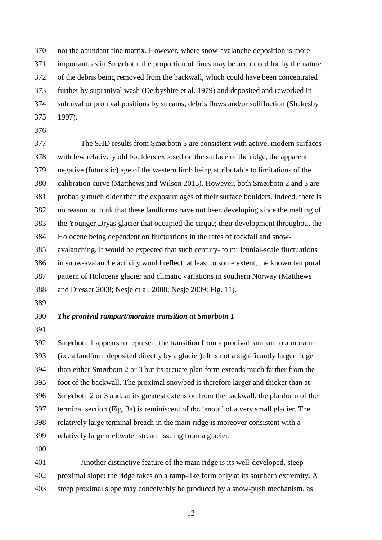not the abundant fine matrix. However, where snow-avalanche deposition is more

- important, as in Smørbotn, the proportion of fines may be accounted for by the nature
- of the debris being removed from the backwall, which could have been concentrated
- further by supranival wash (Derbyshire et al. 1979) and deposited and reworked in
- subnival or pronival positions by streams, debris flows and/or solifluction (Shakesby
- 1997).
- 

 The SHD results from Smørbotn 3 are consistent with active, modern surfaces with few relatively old boulders exposed on the surface of the ridge, the apparent negative (futuristic) age of the western limb being attributable to limitations of the calibration curve (Matthews and Wilson 2015). However, both Smørbotn 2 and 3 are probably much older than the exposure ages of their surface boulders. Indeed, there is no reason to think that these landforms have not been developing since the melting of the Younger Dryas glacier that occupied the cirque; their development throughout the Holocene being dependent on fluctuations in the rates of rockfall and snow- avalanching. It would be expected that such century- to millennial-scale fluctuations in snow-avalanche activity would reflect, at least to some extent, the known temporal pattern of Holocene glacier and climatic variations in southern Norway (Matthews and Dresser 2008; Nesje et al. 2008; Nesje 2009; Fig. 11).

## *The pronival rampart/moraine transition at Smørbotn 1*

 Smørbotn 1 appears to represent the transition from a pronival rampart to a moraine (i.e. a landform deposited directly by a glacier). It is not a significantly larger ridge than either Smørbotn 2 or 3 but its arcuate plan form extends much farther from the foot of the backwall. The proximal snowbed is therefore larger and thicker than at Smørbotn 2 or 3 and, at its greatest extension from the backwall, the planform of the terminal section (Fig. 3a) is reminiscent of the 'snout' of a very small glacier. The relatively large terminal breach in the main ridge is moreover consistent with a relatively large meltwater stream issuing from a glacier.

 Another distinctive feature of the main ridge is its well-developed, steep 402 proximal slope: the ridge takes on a ramp-like form only at its southern extremity. A steep proximal slope may conceivably be produced by a snow-push mechanism, as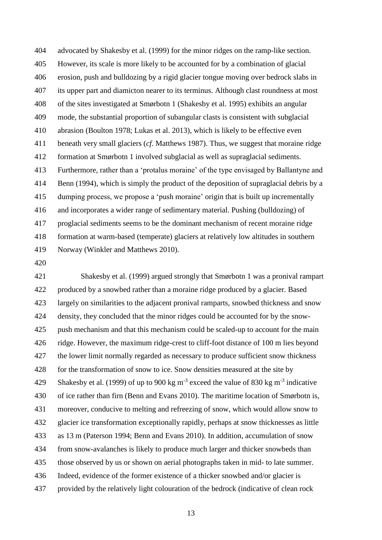advocated by Shakesby et al. (1999) for the minor ridges on the ramp-like section. However, its scale is more likely to be accounted for by a combination of glacial erosion, push and bulldozing by a rigid glacier tongue moving over bedrock slabs in its upper part and diamicton nearer to its terminus. Although clast roundness at most of the sites investigated at Smørbotn 1 (Shakesby et al. 1995) exhibits an angular mode, the substantial proportion of subangular clasts is consistent with subglacial abrasion (Boulton 1978; Lukas et al. 2013), which is likely to be effective even beneath very small glaciers (*cf*. Matthews 1987). Thus, we suggest that moraine ridge formation at Smørbotn 1 involved subglacial as well as supraglacial sediments. Furthermore, rather than a 'protalus moraine' of the type envisaged by Ballantyne and Benn (1994), which is simply the product of the deposition of supraglacial debris by a dumping process, we propose a 'push moraine' origin that is built up incrementally and incorporates a wider range of sedimentary material. Pushing (bulldozing) of proglacial sediments seems to be the dominant mechanism of recent moraine ridge formation at warm-based (temperate) glaciers at relatively low altitudes in southern Norway (Winkler and Matthews 2010).

 Shakesby et al. (1999) argued strongly that Smørbotn 1 was a pronival rampart produced by a snowbed rather than a moraine ridge produced by a glacier. Based largely on similarities to the adjacent pronival ramparts, snowbed thickness and snow density, they concluded that the minor ridges could be accounted for by the snow- push mechanism and that this mechanism could be scaled-up to account for the main ridge. However, the maximum ridge-crest to cliff-foot distance of 100 m lies beyond the lower limit normally regarded as necessary to produce sufficient snow thickness for the transformation of snow to ice. Snow densities measured at the site by 429 Shakesby et al. (1999) of up to 900 kg m<sup>-3</sup> exceed the value of 830 kg m<sup>-3</sup> indicative of ice rather than firn (Benn and Evans 2010). The maritime location of Smørbotn is, moreover, conducive to melting and refreezing of snow, which would allow snow to glacier ice transformation exceptionally rapidly, perhaps at snow thicknesses as little as 13 m (Paterson 1994; Benn and Evans 2010). In addition, accumulation of snow from snow-avalanches is likely to produce much larger and thicker snowbeds than those observed by us or shown on aerial photographs taken in mid- to late summer. Indeed, evidence of the former existence of a thicker snowbed and/or glacier is provided by the relatively light colouration of the bedrock (indicative of clean rock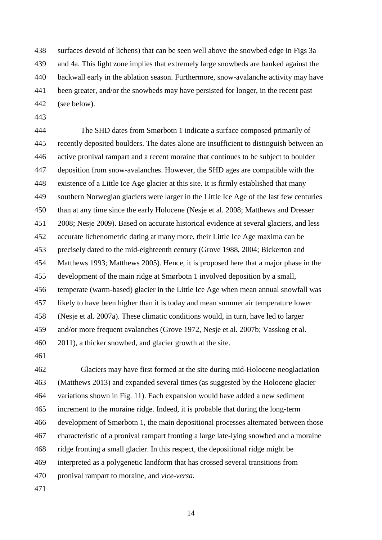surfaces devoid of lichens) that can be seen well above the snowbed edge in Figs 3a and 4a. This light zone implies that extremely large snowbeds are banked against the backwall early in the ablation season. Furthermore, snow-avalanche activity may have been greater, and/or the snowbeds may have persisted for longer, in the recent past (see below).

 The SHD dates from Smørbotn 1 indicate a surface composed primarily of recently deposited boulders. The dates alone are insufficient to distinguish between an active pronival rampart and a recent moraine that continues to be subject to boulder deposition from snow-avalanches. However, the SHD ages are compatible with the existence of a Little Ice Age glacier at this site. It is firmly established that many southern Norwegian glaciers were larger in the Little Ice Age of the last few centuries than at any time since the early Holocene (Nesje et al. 2008; Matthews and Dresser 2008; Nesje 2009). Based on accurate historical evidence at several glaciers, and less accurate lichenometric dating at many more, their Little Ice Age maxima can be precisely dated to the mid-eighteenth century (Grove 1988, 2004; Bickerton and Matthews 1993; Matthews 2005). Hence, it is proposed here that a major phase in the development of the main ridge at Smørbotn 1 involved deposition by a small, temperate (warm-based) glacier in the Little Ice Age when mean annual snowfall was likely to have been higher than it is today and mean summer air temperature lower (Nesje et al. 2007a). These climatic conditions would, in turn, have led to larger and/or more frequent avalanches (Grove 1972, Nesje et al. 2007b; Vasskog et al. 2011), a thicker snowbed, and glacier growth at the site.

 Glaciers may have first formed at the site during mid-Holocene neoglaciation (Matthews 2013) and expanded several times (as suggested by the Holocene glacier variations shown in Fig. 11). Each expansion would have added a new sediment increment to the moraine ridge. Indeed, it is probable that during the long-term development of Smørbotn 1, the main depositional processes alternated between those characteristic of a pronival rampart fronting a large late-lying snowbed and a moraine ridge fronting a small glacier. In this respect, the depositional ridge might be interpreted as a polygenetic landform that has crossed several transitions from pronival rampart to moraine, and *vice-versa*.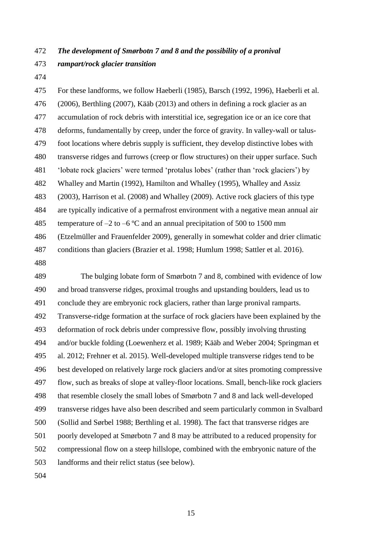# *The development of Smørbotn 7 and 8 and the possibility of a pronival rampart/rock glacier transition*

 For these landforms, we follow Haeberli (1985), Barsch (1992, 1996), Haeberli et al. (2006), Berthling (2007), Kääb (2013) and others in defining a rock glacier as an accumulation of rock debris with interstitial ice, segregation ice or an ice core that deforms, fundamentally by creep, under the force of gravity. In valley-wall or talus- foot locations where debris supply is sufficient, they develop distinctive lobes with transverse ridges and furrows (creep or flow structures) on their upper surface. Such 'lobate rock glaciers' were termed 'protalus lobes' (rather than 'rock glaciers') by Whalley and Martin (1992), Hamilton and Whalley (1995), Whalley and Assiz (2003), Harrison et al. (2008) and Whalley (2009). Active rock glaciers of this type are typically indicative of a permafrost environment with a negative mean annual air 485 temperature of  $-2$  to  $-6$  °C and an annual precipitation of 500 to 1500 mm (Etzelmüller and Frauenfelder 2009), generally in somewhat colder and drier climatic conditions than glaciers (Brazier et al. 1998; Humlum 1998; Sattler et al. 2016).

 The bulging lobate form of Smørbotn 7 and 8, combined with evidence of low and broad transverse ridges, proximal troughs and upstanding boulders, lead us to conclude they are embryonic rock glaciers, rather than large pronival ramparts. Transverse-ridge formation at the surface of rock glaciers have been explained by the deformation of rock debris under compressive flow, possibly involving thrusting and/or buckle folding (Loewenherz et al. 1989; Kääb and Weber 2004; Springman et al. 2012; Frehner et al. 2015). Well-developed multiple transverse ridges tend to be best developed on relatively large rock glaciers and/or at sites promoting compressive flow, such as breaks of slope at valley-floor locations. Small, bench-like rock glaciers that resemble closely the small lobes of Smørbotn 7 and 8 and lack well-developed transverse ridges have also been described and seem particularly common in Svalbard (Sollid and Sørbel 1988; Berthling et al. 1998). The fact that transverse ridges are poorly developed at Smørbotn 7 and 8 may be attributed to a reduced propensity for compressional flow on a steep hillslope, combined with the embryonic nature of the landforms and their relict status (see below).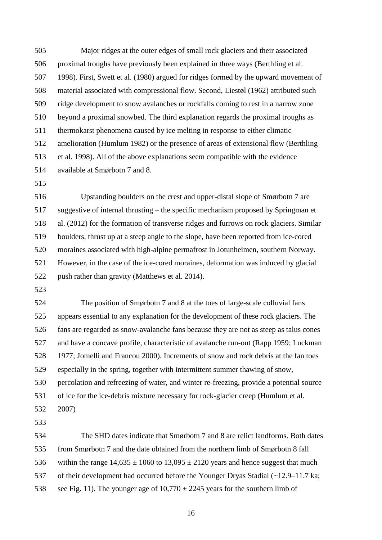Major ridges at the outer edges of small rock glaciers and their associated proximal troughs have previously been explained in three ways (Berthling et al. 1998). First, Swett et al. (1980) argued for ridges formed by the upward movement of material associated with compressional flow. Second, Liestøl (1962) attributed such ridge development to snow avalanches or rockfalls coming to rest in a narrow zone beyond a proximal snowbed. The third explanation regards the proximal troughs as thermokarst phenomena caused by ice melting in response to either climatic amelioration (Humlum 1982) or the presence of areas of extensional flow (Berthling et al. 1998). All of the above explanations seem compatible with the evidence available at Smørbotn 7 and 8.

 Upstanding boulders on the crest and upper-distal slope of Smørbotn 7 are suggestive of internal thrusting – the specific mechanism proposed by Springman et al. (2012) for the formation of transverse ridges and furrows on rock glaciers. Similar boulders, thrust up at a steep angle to the slope, have been reported from ice-cored moraines associated with high-alpine permafrost in Jotunheimen, southern Norway. However, in the case of the ice-cored moraines, deformation was induced by glacial push rather than gravity (Matthews et al. 2014).

 The position of Smørbotn 7 and 8 at the toes of large-scale colluvial fans appears essential to any explanation for the development of these rock glaciers. The fans are regarded as snow-avalanche fans because they are not as steep as talus cones and have a concave profile, characteristic of avalanche run-out (Rapp 1959; Luckman 1977; Jomelli and Francou 2000). Increments of snow and rock debris at the fan toes especially in the spring, together with intermittent summer thawing of snow, percolation and refreezing of water, and winter re-freezing, provide a potential source of ice for the ice-debris mixture necessary for rock-glacier creep (Humlum et al. 2007)

 The SHD dates indicate that Smørbotn 7 and 8 are relict landforms. Both dates from Smørbotn 7 and the date obtained from the northern limb of Smørbotn 8 fall 536 within the range  $14,635 \pm 1060$  to  $13,095 \pm 2120$  years and hence suggest that much of their development had occurred before the Younger Dryas Stadial (~12.9–11.7 ka; 538 see Fig. 11). The younger age of  $10,770 \pm 2245$  years for the southern limb of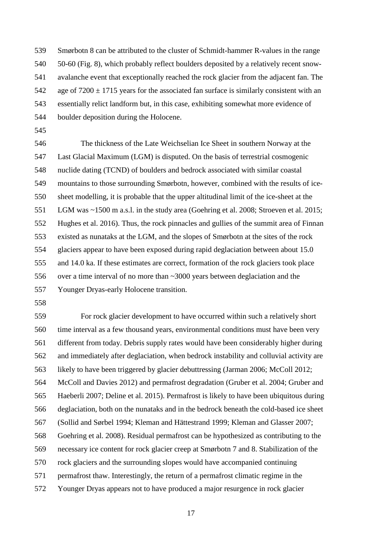Smørbotn 8 can be attributed to the cluster of Schmidt-hammer R-values in the range 50-60 (Fig. 8), which probably reflect boulders deposited by a relatively recent snow- avalanche event that exceptionally reached the rock glacier from the adjacent fan. The 542 age of  $7200 \pm 1715$  years for the associated fan surface is similarly consistent with an essentially relict landform but, in this case, exhibiting somewhat more evidence of boulder deposition during the Holocene.

 The thickness of the Late Weichselian Ice Sheet in southern Norway at the Last Glacial Maximum (LGM) is disputed. On the basis of terrestrial cosmogenic nuclide dating (TCND) of boulders and bedrock associated with similar coastal mountains to those surrounding Smørbotn, however, combined with the results of ice- sheet modelling, it is probable that the upper altitudinal limit of the ice-sheet at the LGM was ~1500 m a.s.l. in the study area (Goehring et al. 2008; Stroeven et al. 2015; Hughes et al. 2016). Thus, the rock pinnacles and gullies of the summit area of Finnan existed as nunataks at the LGM, and the slopes of Smørbotn at the sites of the rock glaciers appear to have been exposed during rapid deglaciation between about 15.0 and 14.0 ka. If these estimates are correct, formation of the rock glaciers took place over a time interval of no more than ~3000 years between deglaciation and the Younger Dryas-early Holocene transition.

 For rock glacier development to have occurred within such a relatively short time interval as a few thousand years, environmental conditions must have been very different from today. Debris supply rates would have been considerably higher during and immediately after deglaciation, when bedrock instability and colluvial activity are likely to have been triggered by glacier debuttressing (Jarman 2006; McColl 2012; McColl and Davies 2012) and permafrost degradation (Gruber et al. 2004; Gruber and Haeberli 2007; Deline et al. 2015). Permafrost is likely to have been ubiquitous during deglaciation, both on the nunataks and in the bedrock beneath the cold-based ice sheet (Sollid and Sørbel 1994; Kleman and Hättestrand 1999; Kleman and Glasser 2007; Goehring et al. 2008). Residual permafrost can be hypothesized as contributing to the necessary ice content for rock glacier creep at Smørbotn 7 and 8. Stabilization of the rock glaciers and the surrounding slopes would have accompanied continuing permafrost thaw. Interestingly, the return of a permafrost climatic regime in the Younger Dryas appears not to have produced a major resurgence in rock glacier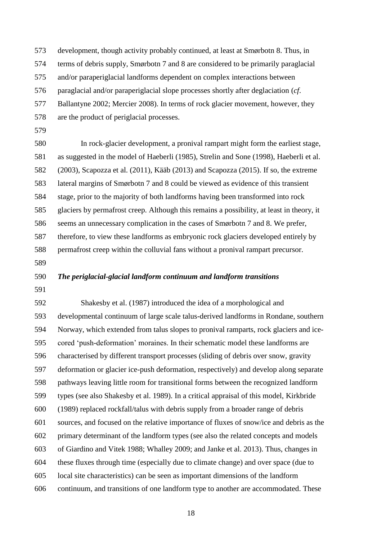development, though activity probably continued, at least at Smørbotn 8. Thus, in

terms of debris supply, Smørbotn 7 and 8 are considered to be primarily paraglacial

and/or paraperiglacial landforms dependent on complex interactions between

paraglacial and/or paraperiglacial slope processes shortly after deglaciation (*cf*.

Ballantyne 2002; Mercier 2008). In terms of rock glacier movement, however, they

- are the product of periglacial processes.
- 

 In rock-glacier development, a pronival rampart might form the earliest stage, as suggested in the model of Haeberli (1985), Strelin and Sone (1998), Haeberli et al. (2003), Scapozza et al. (2011), Kääb (2013) and Scapozza (2015). If so, the extreme lateral margins of Smørbotn 7 and 8 could be viewed as evidence of this transient stage, prior to the majority of both landforms having been transformed into rock glaciers by permafrost creep. Although this remains a possibility, at least in theory, it seems an unnecessary complication in the cases of Smørbotn 7 and 8. We prefer, therefore, to view these landforms as embryonic rock glaciers developed entirely by permafrost creep within the colluvial fans without a pronival rampart precursor.

- 
- 

### *The periglacial-glacial landform continuum and landform transitions*

 Shakesby et al. (1987) introduced the idea of a morphological and developmental continuum of large scale talus-derived landforms in Rondane, southern Norway, which extended from talus slopes to pronival ramparts, rock glaciers and ice- cored 'push-deformation' moraines. In their schematic model these landforms are characterised by different transport processes (sliding of debris over snow, gravity deformation or glacier ice-push deformation, respectively) and develop along separate pathways leaving little room for transitional forms between the recognized landform types (see also Shakesby et al. 1989). In a critical appraisal of this model, Kirkbride (1989) replaced rockfall/talus with debris supply from a broader range of debris sources, and focused on the relative importance of fluxes of snow/ice and debris as the primary determinant of the landform types (see also the related concepts and models of Giardino and Vitek 1988; Whalley 2009; and Janke et al. 2013). Thus, changes in these fluxes through time (especially due to climate change) and over space (due to local site characteristics) can be seen as important dimensions of the landform continuum, and transitions of one landform type to another are accommodated. These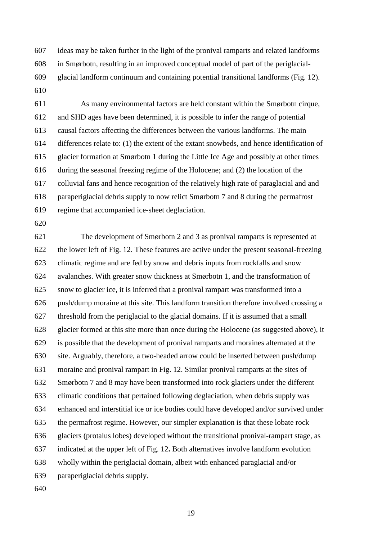ideas may be taken further in the light of the pronival ramparts and related landforms in Smørbotn, resulting in an improved conceptual model of part of the periglacial- glacial landform continuum and containing potential transitional landforms (Fig. 12). 

 As many environmental factors are held constant within the Smørbotn cirque, and SHD ages have been determined, it is possible to infer the range of potential causal factors affecting the differences between the various landforms. The main differences relate to: (1) the extent of the extant snowbeds, and hence identification of glacier formation at Smørbotn 1 during the Little Ice Age and possibly at other times during the seasonal freezing regime of the Holocene; and (2) the location of the colluvial fans and hence recognition of the relatively high rate of paraglacial and and paraperiglacial debris supply to now relict Smørbotn 7 and 8 during the permafrost regime that accompanied ice-sheet deglaciation.

 The development of Smørbotn 2 and 3 as pronival ramparts is represented at the lower left of Fig. 12. These features are active under the present seasonal-freezing climatic regime and are fed by snow and debris inputs from rockfalls and snow avalanches. With greater snow thickness at Smørbotn 1, and the transformation of snow to glacier ice, it is inferred that a pronival rampart was transformed into a push/dump moraine at this site. This landform transition therefore involved crossing a threshold from the periglacial to the glacial domains. If it is assumed that a small glacier formed at this site more than once during the Holocene (as suggested above), it is possible that the development of pronival ramparts and moraines alternated at the site. Arguably, therefore, a two-headed arrow could be inserted between push/dump moraine and pronival rampart in Fig. 12. Similar pronival ramparts at the sites of Smørbotn 7 and 8 may have been transformed into rock glaciers under the different climatic conditions that pertained following deglaciation, when debris supply was enhanced and interstitial ice or ice bodies could have developed and/or survived under the permafrost regime. However, our simpler explanation is that these lobate rock glaciers (protalus lobes) developed without the transitional pronival-rampart stage, as indicated at the upper left of Fig. 12**.** Both alternatives involve landform evolution wholly within the periglacial domain, albeit with enhanced paraglacial and/or paraperiglacial debris supply.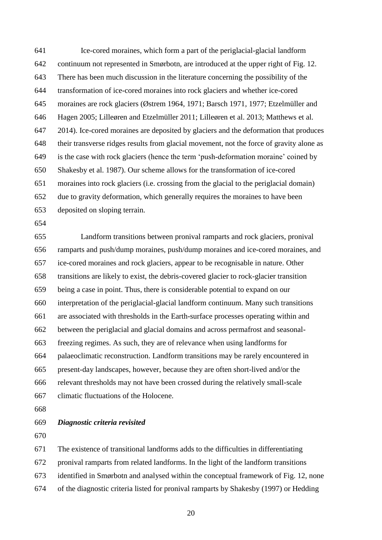Ice-cored moraines, which form a part of the periglacial-glacial landform continuum not represented in Smørbotn, are introduced at the upper right of Fig. 12. There has been much discussion in the literature concerning the possibility of the transformation of ice-cored moraines into rock glaciers and whether ice-cored moraines are rock glaciers (Østrem 1964, 1971; Barsch 1971, 1977; Etzelmüller and Hagen 2005; Lilleøren and Etzelmüller 2011; Lilleøren et al. 2013; Matthews et al. 2014). Ice-cored moraines are deposited by glaciers and the deformation that produces their transverse ridges results from glacial movement, not the force of gravity alone as is the case with rock glaciers (hence the term 'push-deformation moraine' coined by Shakesby et al. 1987). Our scheme allows for the transformation of ice-cored moraines into rock glaciers (i.e. crossing from the glacial to the periglacial domain) due to gravity deformation, which generally requires the moraines to have been deposited on sloping terrain.

 Landform transitions between pronival ramparts and rock glaciers, pronival ramparts and push/dump moraines, push/dump moraines and ice-cored moraines, and ice-cored moraines and rock glaciers, appear to be recognisable in nature. Other transitions are likely to exist, the debris-covered glacier to rock-glacier transition being a case in point. Thus, there is considerable potential to expand on our interpretation of the periglacial-glacial landform continuum. Many such transitions are associated with thresholds in the Earth-surface processes operating within and between the periglacial and glacial domains and across permafrost and seasonal- freezing regimes. As such, they are of relevance when using landforms for palaeoclimatic reconstruction. Landform transitions may be rarely encountered in present-day landscapes, however, because they are often short-lived and/or the relevant thresholds may not have been crossed during the relatively small-scale climatic fluctuations of the Holocene.

#### *Diagnostic criteria revisited*

The existence of transitional landforms adds to the difficulties in differentiating

pronival ramparts from related landforms. In the light of the landform transitions

identified in Smørbotn and analysed within the conceptual framework of Fig. 12, none

of the diagnostic criteria listed for pronival ramparts by Shakesby (1997) or Hedding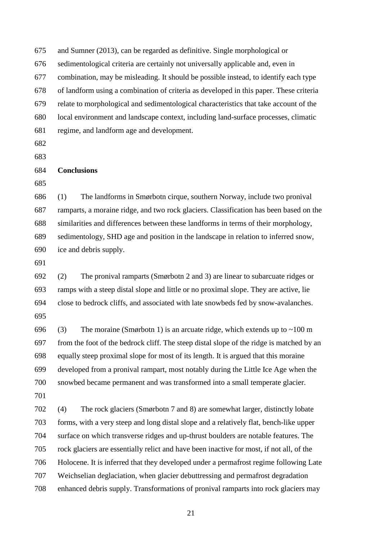and Sumner (2013), can be regarded as definitive. Single morphological or

sedimentological criteria are certainly not universally applicable and, even in

combination, may be misleading. It should be possible instead, to identify each type

of landform using a combination of criteria as developed in this paper. These criteria

relate to morphological and sedimentological characteristics that take account of the

- local environment and landscape context, including land-surface processes, climatic
- regime, and landform age and development.
- 
- 

## **Conclusions**

 (1) The landforms in Smørbotn cirque, southern Norway, include two pronival ramparts, a moraine ridge, and two rock glaciers. Classification has been based on the similarities and differences between these landforms in terms of their morphology, sedimentology, SHD age and position in the landscape in relation to inferred snow, ice and debris supply.

 (2) The pronival ramparts (Smørbotn 2 and 3) are linear to subarcuate ridges or ramps with a steep distal slope and little or no proximal slope. They are active, lie close to bedrock cliffs, and associated with late snowbeds fed by snow-avalanches. 

696 (3) The moraine (Smørbotn 1) is an arcuate ridge, which extends up to  $\sim$ 100 m from the foot of the bedrock cliff. The steep distal slope of the ridge is matched by an equally steep proximal slope for most of its length. It is argued that this moraine developed from a pronival rampart, most notably during the Little Ice Age when the snowbed became permanent and was transformed into a small temperate glacier. 

 (4) The rock glaciers (Smørbotn 7 and 8) are somewhat larger, distinctly lobate forms, with a very steep and long distal slope and a relatively flat, bench-like upper surface on which transverse ridges and up-thrust boulders are notable features. The rock glaciers are essentially relict and have been inactive for most, if not all, of the Holocene. It is inferred that they developed under a permafrost regime following Late Weichselian deglaciation, when glacier debuttressing and permafrost degradation enhanced debris supply. Transformations of pronival ramparts into rock glaciers may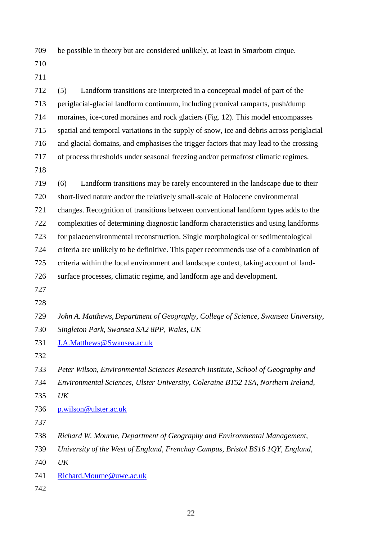be possible in theory but are considered unlikely, at least in Smørbotn cirque.

 (5) Landform transitions are interpreted in a conceptual model of part of the periglacial-glacial landform continuum, including pronival ramparts, push/dump moraines, ice-cored moraines and rock glaciers (Fig. 12). This model encompasses spatial and temporal variations in the supply of snow, ice and debris across periglacial and glacial domains, and emphasises the trigger factors that may lead to the crossing of process thresholds under seasonal freezing and/or permafrost climatic regimes. (6) Landform transitions may be rarely encountered in the landscape due to their short-lived nature and/or the relatively small-scale of Holocene environmental changes. Recognition of transitions between conventional landform types adds to the complexities of determining diagnostic landform characteristics and using landforms for palaeoenvironmental reconstruction. Single morphological or sedimentological criteria are unlikely to be definitive. This paper recommends use of a combination of criteria within the local environment and landscape context, taking account of land-surface processes, climatic regime, and landform age and development.

- 
- 

*John A. Matthews, Department of Geography, College of Science, Swansea University,* 

*Singleton Park, Swansea SA2 8PP, Wales, UK*

[J.A.Matthews@Swansea.ac.uk](mailto:J.A.Matthews@Swansea.ac.uk)

*Peter Wilson, Environmental Sciences Research Institute, School of Geography and* 

*Environmental Sciences, Ulster University, Coleraine BT52 1SA, Northern Ireland,*

*UK*

[p.wilson@ulster.ac.uk](mailto:p.wilson@ulster.ac.uk)

*Richard W. Mourne, Department of Geography and Environmental Management,* 

- *University of the West of England, Frenchay Campus, Bristol BS16 1QY, England,*
- *UK*
- [Richard.Mourne@uwe.ac.uk](mailto:Richard.Mourne@uwe.ac.uk)
-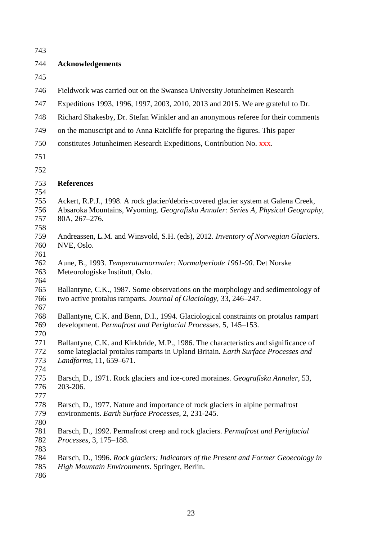| 743        |                                                                                      |
|------------|--------------------------------------------------------------------------------------|
| 744        | <b>Acknowledgements</b>                                                              |
| 745        |                                                                                      |
| 746        | Fieldwork was carried out on the Swansea University Jotunheimen Research             |
| 747        | Expeditions 1993, 1996, 1997, 2003, 2010, 2013 and 2015. We are grateful to Dr.      |
| 748        | Richard Shakesby, Dr. Stefan Winkler and an anonymous referee for their comments     |
| 749        | on the manuscript and to Anna Ratcliffe for preparing the figures. This paper        |
| 750        | constitutes Jotunheimen Research Expeditions, Contribution No. xxx.                  |
| 751        |                                                                                      |
| 752        |                                                                                      |
| 753        | <b>References</b>                                                                    |
| 754        |                                                                                      |
| 755        | Ackert, R.P.J., 1998. A rock glacier/debris-covered glacier system at Galena Creek,  |
| 756<br>757 | Absaroka Mountains, Wyoming. Geografiska Annaler: Series A, Physical Geography,      |
| 758        | 80A, 267-276.                                                                        |
| 759        | Andreassen, L.M. and Winsvold, S.H. (eds), 2012. Inventory of Norwegian Glaciers.    |
| 760        | NVE, Oslo.                                                                           |
| 761        |                                                                                      |
| 762        | Aune, B., 1993. Temperaturnormaler: Normalperiode 1961-90. Det Norske                |
| 763        | Meteorologiske Institutt, Oslo.                                                      |
| 764        |                                                                                      |
| 765        | Ballantyne, C.K., 1987. Some observations on the morphology and sedimentology of     |
| 766        | two active protalus ramparts. Journal of Glaciology, 33, 246–247.                    |
| 767        |                                                                                      |
| 768        | Ballantyne, C.K. and Benn, D.I., 1994. Glaciological constraints on protalus rampart |
| 769        | development. Permafrost and Periglacial Processes, 5, 145–153.                       |
| 770        |                                                                                      |
| 771        | Ballantyne, C.K. and Kirkbride, M.P., 1986. The characteristics and significance of  |
| 772        | some lateglacial protalus ramparts in Upland Britain. Earth Surface Processes and    |
| 773        | Landforms, 11, 659-671.                                                              |
| 774        |                                                                                      |
| 775        | Barsch, D., 1971. Rock glaciers and ice-cored moraines. Geografiska Annaler, 53,     |
| 776        | 203-206.                                                                             |
| 777        |                                                                                      |
| 778        | Barsch, D., 1977. Nature and importance of rock glaciers in alpine permafrost        |
| 779        | environments. Earth Surface Processes, 2, 231-245.                                   |
| 780        |                                                                                      |
| 781        | Barsch, D., 1992. Permafrost creep and rock glaciers. Permafrost and Periglacial     |
| 782        | Processes, 3, 175–188.                                                               |
| 783        |                                                                                      |
| 784        | Barsch, D., 1996. Rock glaciers: Indicators of the Present and Former Geoecology in  |
| 785        | High Mountain Environments. Springer, Berlin.                                        |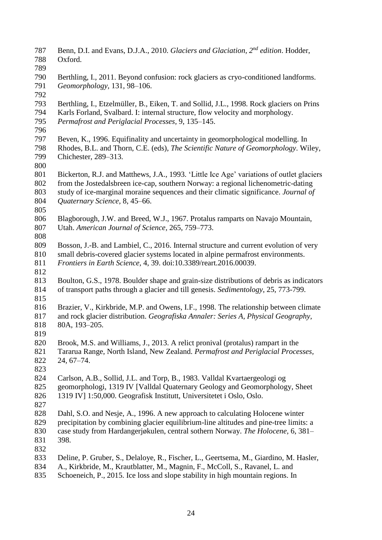- 787 Benn, D.I. and Evans, D.J.A., 2010. *Glaciers and Glaciation*, 2<sup>*nd</sup> edition*. Hodder,</sup> Oxford. Berthling, I., 2011. Beyond confusion: rock glaciers as cryo-conditioned landforms. *Geomorphology,* 131, 98–106. Berthling, I., Etzelmüller, B., Eiken, T. and Sollid, J.L., 1998. Rock glaciers on Prins Karls Forland, Svalbard. I: internal structure, flow velocity and morphology. *Permafrost and Periglacial Processes,* 9, 135–145. Beven, K., 1996. Equifinality and uncertainty in geomorphological modelling. In Rhodes, B.L. and Thorn, C.E. (eds), *The Scientific Nature of Geomorphology*. Wiley, Chichester, 289–313. Bickerton, R.J. and Matthews, J.A., 1993. 'Little Ice Age' variations of outlet glaciers from the Jostedalsbreen ice-cap, southern Norway: a regional lichenometric-dating study of ice-marginal moraine sequences and their climatic significance. *Journal of Quaternary Science,* 8, 45–66. Blagborough, J.W. and Breed, W.J., 1967. Protalus ramparts on Navajo Mountain, Utah. *American Journal of Science,* 265, 759–773. Bosson, J.-B. and Lambiel, C., 2016. Internal structure and current evolution of very small debris-covered glacier systems located in alpine permafrost environments. *Frontiers in Earth Science,* 4, 39. doi:10.3389/reart.2016.00039. Boulton, G.S., 1978. Boulder shape and grain-size distributions of debris as indicators of transport paths through a glacier and till genesis. *Sedimentology*, 25, 773-799. Brazier, V., Kirkbride, M.P. and Owens, I.F., 1998. The relationship between climate and rock glacier distribution. *Geografiska Annaler: Series A, Physical Geography,* 80A, 193–205. Brook, M.S. and Williams, J., 2013. A relict pronival (protalus) rampart in the Tararua Range, North Island, New Zealand. *Permafrost and Periglacial Processes,* 24, 67–74. Carlson, A.B., Sollid, J.L. and Torp, B., 1983. Valldal Kvartaergeologi og geomorphologi, 1319 IV [Valldal Quaternary Geology and Geomorphology, Sheet 1319 IV] 1:50,000. Geografisk Institutt, Universitetet i Oslo, Oslo. Dahl, S.O. and Nesje, A., 1996. A new approach to calculating Holocene winter precipitation by combining glacier equilibrium-line altitudes and pine-tree limits: a case study from Hardangerjøkulen, central sothern Norway. *The Holocene,* 6, 381– 398. Deline, P. Gruber, S., Delaloye, R., Fischer, L., Geertsema, M., Giardino, M. Hasler, A., Kirkbride, M., Krautblatter, M., Magnin, F., McColl, S., Ravanel, L. and
- Schoeneich, P., 2015. Ice loss and slope stability in high mountain regions. In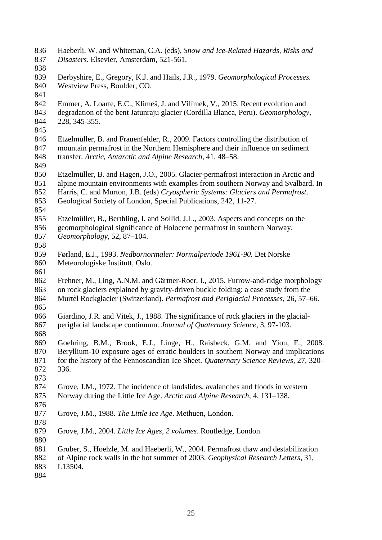Haeberli, W. and Whiteman, C.A. (eds), *Snow and Ice-Related Hazards, Risks and Disasters*. Elsevier, Amsterdam, 521-561. Derbyshire, E., Gregory, K.J. and Hails, J.R., 1979. *Geomorphological Processes.* Westview Press, Boulder, CO. Emmer, A. Loarte, E.C., Klimeš, J. and Vilímek, V., 2015. Recent evolution and degradation of the bent Jatunraju glacier (Cordilla Blanca, Peru). *Geomorphology,* 228, 345-355. Etzelmüller, B. and Frauenfelder, R., 2009. Factors controlling the distribution of mountain permafrost in the Northern Hemisphere and their influence on sediment transfer. *Arctic, Antarctic and Alpine Research,* 41, 48–58. Etzelmüller, B. and Hagen, J.O., 2005. Glacier-permafrost interaction in Arctic and alpine mountain environments with examples from southern Norway and Svalbard. In Harris, C. and Murton, J.B. (eds) *Cryospheric Systems: Glaciers and Permafrost*. Geological Society of London, Special Publications, 242, 11-27. Etzelmüller, B., Berthling, I. and Sollid, J.L., 2003. Aspects and concepts on the geomorphological significance of Holocene permafrost in southern Norway. *Geomorphology,* 52, 87–104. Førland, E.J., 1993. *Nedbornormaler: Normalperiode 1961-90.* Det Norske Meteorologiske Institutt, Oslo. Frehner, M., Ling, A.N.M. and Gärtner-Roer, I., 2015. Furrow-and-ridge morphology on rock glaciers explained by gravity-driven buckle folding: a case study from the Murtèl Rockglacier (Switzerland). *Permafrost and Periglacial Processes,* 26, 57–66. Giardino, J.R. and Vitek, J., 1988. The significance of rock glaciers in the glacial- periglacial landscape continuum. *Journal of Quaternary Science,* 3, 97-103. Goehring, B.M., Brook, E.J., Linge, H., Raisbeck, G.M. and Yiou, F., 2008. Beryllium-10 exposure ages of erratic boulders in southern Norway and implications for the history of the Fennoscandian Ice Sheet. *Quaternary Science Reviews,* 27, 320– 336. Grove, J.M., 1972. The incidence of landslides, avalanches and floods in western Norway during the Little Ice Age. *Arctic and Alpine Research,* 4, 131–138. Grove, J.M., 1988. *The Little Ice Age*. Methuen, London. Grove, J.M., 2004. *Little Ice Ages, 2 volumes*. Routledge, London. Gruber, S., Hoelzle, M. and Haeberli, W., 2004. Permafrost thaw and destabilization of Alpine rock walls in the hot summer of 2003. *Geophysical Research Letters,* 31, L13504.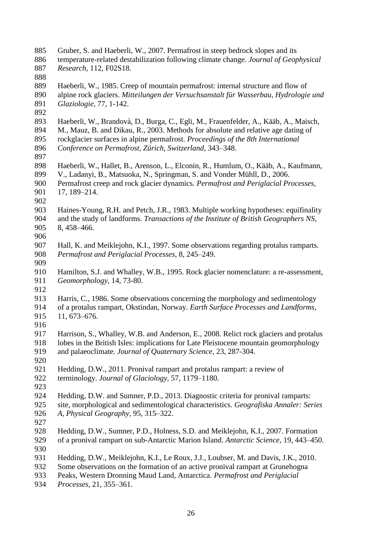- Gruber, S. and Haeberli, W., 2007. Permafrost in steep bedrock slopes and its
- temperature-related destabilization following climate change. *Journal of Geophysical*
- *Research,* 112, F02S18.
- 
- Haeberli, W., 1985. Creep of mountain permafrost: internal structure and flow of
- alpine rock glaciers. *Mitteilungen der Versuchsanstalt für Wasserbau, Hydrologie und Glaziologie,* 77, 1-142.
- 
- Haeberli, W., Brandovà, D., Burga, C., Egli, M., Frauenfelder, A., Kääb, A., Maisch,
- M., Mauz, B. and Dikau, R., 2003. Methods for absolute and relative age dating of rockglacier surfaces in alpine permafrost. *Proceedings of the 8th International*
- *Conference on Permafrost, Zürich, Switzerland*, 343–348.
- 
- Haeberli, W., Hallet, B., Arenson, L., Elconin, R., Humlum, O., Kääb, A., Kaufmann,
- V., Ladanyi, B., Matsuoka, N., Springman, S. and Vonder Mühll, D., 2006.

- 
- Haines-Young, R.H. and Petch, J.R., 1983. Multiple working hypotheses: equifinality and the study of landforms. *Transactions of the Institute of British Geographers NS,* 8, 458–466.
- 
- Hall, K. and Meiklejohn, K.I., 1997. Some observations regarding protalus ramparts. *Permafrost and Periglacial Processes,* 8, 245–249.
- 
- Hamilton, S.J. and Whalley, W.B., 1995. Rock glacier nomenclature: a re-assessment, *Geomorphology,* 14, 73-80.
- 

 Harris, C., 1986. Some observations concerning the morphology and sedimentology of a protalus rampart, Okstindan, Norway. *Earth Surface Processes and Landforms,* 11, 673–676.

- 
- Harrison, S., Whalley, W.B. and Anderson, E., 2008. Relict rock glaciers and protalus lobes in the British Isles: implications for Late Pleistocene mountain geomorphology and palaeoclimate. *Journal of Quaternary Science,* 23, 287-304.
- 
- Hedding, D.W., 2011. Pronival rampart and protalus rampart: a review of terminology. *Journal of Glaciology,* 57, 1179–1180.
- Hedding, D.W. and Sumner, P.D., 2013. Diagnostic criteria for pronival ramparts: site, morphological and sedimentological characteristics. *Geografiska Annaler: Series A, Physical Geography,* 95, 315–322.
- 
- Hedding, D.W., Sumner, P.D., Holness, S.D. and Meiklejohn, K.I., 2007. Formation of a pronival rampart on sub-Antarctic Marion Island. *Antarctic Science,* 19, 443–450.
- 
- Hedding, D.W., Meiklejohn, K.I., Le Roux, J.J., Loubser, M. and Davis, J.K., 2010.
- Some observations on the formation of an active pronival rampart at Grunehogna
- Peaks, Western Dronning Maud Land, Antarctica. *Permafrost and Periglacial*
- *Processes,* 21, 355–361.

 Permafrost creep and rock glacier dynamics. *Permafrost and Periglacial Processes,* 17, 189–214.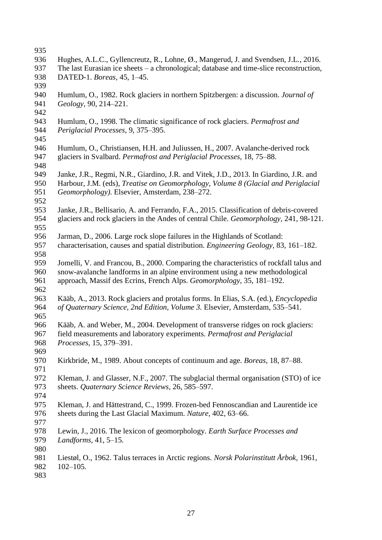- 
- Hughes, A.L.C., Gyllencreutz, R., Lohne, Ø., Mangerud, J. and Svendsen, J.L., 2016.
- The last Eurasian ice sheets a chronological; database and time-slice reconstruction,
- DATED-1. *Boreas,* 45, 1–45.
- Humlum, O., 1982. Rock glaciers in northern Spitzbergen: a discussion. *Journal of Geology,* 90, 214–221.
- 
- Humlum, O., 1998. The climatic significance of rock glaciers. *Permafrost and Periglacial Processes,* 9, 375–395.
- 
- Humlum, O., Christiansen, H.H. and Juliussen, H., 2007. Avalanche-derived rock glaciers in Svalbard. *Permafrost and Periglacial Processes,* 18, 75–88.
- Janke, J.R., Regmi, N.R., Giardino, J.R. and Vitek, J.D., 2013. In Giardino, J.R. and Harbour, J.M. (eds), *Treatise on Geomorphology, Volume 8 (Glacial and Periglacial Geomorphology)*. Elsevier, Amsterdam, 238–272.
- 
- Janke, J.R., Bellisario, A. and Ferrando, F.A., 2015. Classification of debris-covered glaciers and rock glaciers in the Andes of central Chile. *Geomorphology,* 241, 98-121.
- 
- Jarman, D., 2006. Large rock slope failures in the Highlands of Scotland: characterisation, causes and spatial distribution. *Engineering Geology,* 83, 161–182.
- 
- Jomelli, V. and Francou, B., 2000. Comparing the characteristics of rockfall talus and snow-avalanche landforms in an alpine environment using a new methodological approach, Massif des Ecrins, French Alps. *Geomorphology,* 35, 181–192.
- Kääb, A., 2013. Rock glaciers and protalus forms. In Elias, S.A. (ed.), *Encyclopedia of Quaternary Science, 2nd Edition, Volume 3.* Elsevier, Amsterdam, 535–541.
- 
- Kääb, A. and Weber, M., 2004. Development of transverse ridges on rock glaciers: field measurements and laboratory experiments. *Permafrost and Periglacial Processes,* 15, 379–391.
- 
- Kirkbride, M., 1989. About concepts of continuum and age. *Boreas,* 18, 87–88.
- Kleman, J. and Glasser, N.F., 2007. The subglacial thermal organisation (STO) of ice sheets. *Quaternary Science Reviews,* 26, 585–597.
- 
- Kleman, J. and Hättestrand, C., 1999. Frozen-bed Fennoscandian and Laurentide ice sheets during the Last Glacial Maximum. *Nature,* 402, 63–66.
- 
- Lewin, J., 2016. The lexicon of geomorphology. *Earth Surface Processes and*
- *Landforms,* 41, 5–15.
- 
- Liestøl, O., 1962. Talus terraces in Arctic regions. *Norsk Polarinstitutt Årbok,* 1961,
- 102–105.
-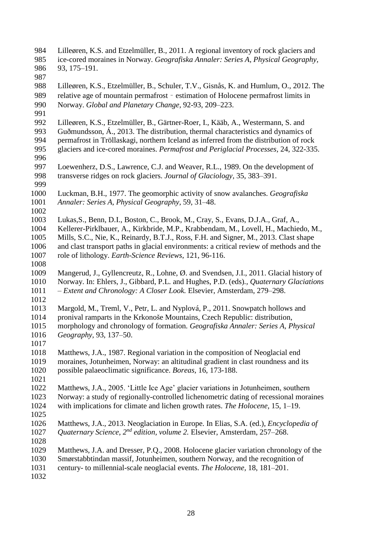Lilleøren, K.S. and Etzelmüller, B., 2011. A regional inventory of rock glaciers and ice-cored moraines in Norway. *Geografiska Annaler: Series A, Physical Geography,* 93, 175–191. Lilleøren, K.S., Etzelmüller, B., Schuler, T.V., Gisnås, K. and Humlum, O., 2012. The relative age of mountain permafrost – estimation of Holocene permafrost limits in Norway. *Global and Planetary Change,* 92-93, 209–223. Lilleøren, K.S., Etzelmüller, B., Gärtner-Roer, I., Kääb, A., Westermann, S. and Guðmundsson, Á., 2013. The distribution, thermal characteristics and dynamics of 994 permafrost in Tröllaskagi, northern Iceland as inferred from the distribution of rock<br>995 glaciers and ice-cored moraines. *Permafrost and Periglacial Processes*, 24, 322-335 glaciers and ice-cored moraines. *Permafrost and Periglacial Processes,* 24, 322-335. Loewenherz, D.S., Lawrence, C.J. and Weaver, R.L., 1989. On the development of transverse ridges on rock glaciers. *Journal of Glaciology,* 35, 383–391. Luckman, B.H., 1977. The geomorphic activity of snow avalanches. *Geografiska Annaler: Series A, Physical Geography,* 59, 31–48. Lukas,S., Benn, D.I., Boston, C., Brook, M., Cray, S., Evans, D.J.A., Graf, A., Kellerer-Pirklbauer, A., Kirkbride, M.P., Krabbendam, M., Lovell, H., Machiedo, M., Mills, S.C., Nie, K., Reinardy, B.T.J., Ross, F.H. and Signer, M., 2013. Clast shape and clast transport paths in glacial environments: a critical review of methods and the role of lithology. *Earth-Science Reviews*, 121, 96-116. Mangerud, J., Gyllencreutz, R., Lohne, Ø. and Svendsen, J.I., 2011. Glacial history of Norway. In: Ehlers, J., Gibbard, P.L. and Hughes, P.D. (eds)*., Quaternary Glaciations – Extent and Chronology: A Closer Look.* Elsevier, Amsterdam, 279–298. Margold, M., Treml, V., Petr, L. and Nyplová, P., 2011. Snowpatch hollows and pronival ramparts in the Krkonoše Mountains, Czech Republic: distribution, morphology and chronology of formation. *Geografiska Annaler: Series A, Physical Geography,* 93, 137–50. Matthews, J.A., 1987. Regional variation in the composition of Neoglacial end moraines, Jotunheimen, Norway: an altitudinal gradient in clast roundness and its possible palaeoclimatic significance. *Boreas,* 16, 173-188. Matthews, J.A., 2005. 'Little Ice Age' glacier variations in Jotunheimen, southern Norway: a study of regionally-controlled lichenometric dating of recessional moraines with implications for climate and lichen growth rates. *The Holocene,* 15, 1–19. Matthews, J.A., 2013. Neoglaciation in Europe. In Elias, S.A. (ed.), *Encyclopedia of Quaternary Science, 2<sup>nd</sup> edition, volume 2. Elsevier, Amsterdam, 257–268.*  Matthews, J.A. and Dresser, P.Q., 2008. Holocene glacier variation chronology of the Smørstabbtindan massif, Jotunheimen, southern Norway, and the recognition of century- to millennial-scale neoglacial events. *The Holocene,* 18, 181–201.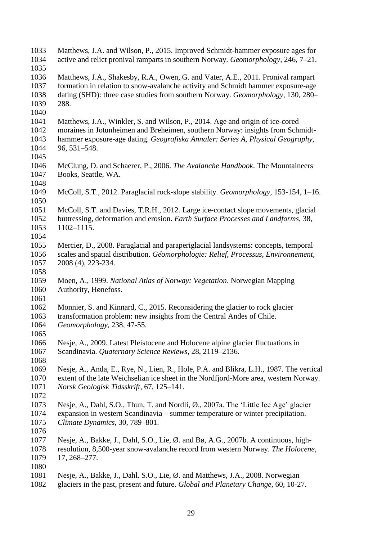| 1033<br>1034 | Matthews, J.A. and Wilson, P., 2015. Improved Schmidt-hammer exposure ages for<br>active and relict pronival ramparts in southern Norway. Geomorphology, 246, 7-21. |
|--------------|---------------------------------------------------------------------------------------------------------------------------------------------------------------------|
| 1035         |                                                                                                                                                                     |
| 1036         | Matthews, J.A., Shakesby, R.A., Owen, G. and Vater, A.E., 2011. Pronival rampart                                                                                    |
| 1037         | formation in relation to snow-avalanche activity and Schmidt hammer exposure-age                                                                                    |
| 1038         | dating (SHD): three case studies from southern Norway. Geomorphology, 130, 280–                                                                                     |
| 1039         | 288.                                                                                                                                                                |
| 1040         |                                                                                                                                                                     |
| 1041         | Matthews, J.A., Winkler, S. and Wilson, P., 2014. Age and origin of ice-cored                                                                                       |
| 1042         | moraines in Jotunheimen and Breheimen, southern Norway: insights from Schmidt-                                                                                      |
| 1043         | hammer exposure-age dating. Geografiska Annaler: Series A, Physical Geography,                                                                                      |
| 1044         | 96, 531-548.                                                                                                                                                        |
| 1045         |                                                                                                                                                                     |
| 1046         | McClung, D. and Schaerer, P., 2006. The Avalanche Handbook. The Mountaineers                                                                                        |
| 1047         | Books, Seattle, WA.                                                                                                                                                 |
| 1048         |                                                                                                                                                                     |
| 1049         | McColl, S.T., 2012. Paraglacial rock-slope stability. Geomorphology, 153-154, 1–16.                                                                                 |
| 1050         |                                                                                                                                                                     |
| 1051         | McColl, S.T. and Davies, T.R.H., 2012. Large ice-contact slope movements, glacial                                                                                   |
| 1052         | buttressing, deformation and erosion. Earth Surface Processes and Landforms, 38,                                                                                    |
| 1053         | 1102-1115.                                                                                                                                                          |
| 1054         |                                                                                                                                                                     |
| 1055         | Mercier, D., 2008. Paraglacial and paraperiglacial landsystems: concepts, temporal                                                                                  |
| 1056         | scales and spatial distribution. Géomorphologie: Relief, Processus, Environnement,                                                                                  |
| 1057         | 2008 (4), 223-234.                                                                                                                                                  |
| 1058         |                                                                                                                                                                     |
| 1059         | Moen, A., 1999. National Atlas of Norway: Vegetation. Norwegian Mapping                                                                                             |
| 1060         | Authority, Hønefoss.                                                                                                                                                |
| 1061         |                                                                                                                                                                     |
| 1062         | Monnier, S. and Kinnard, C., 2015. Reconsidering the glacier to rock glacier                                                                                        |
| 1063         | transformation problem: new insights from the Central Andes of Chile.                                                                                               |
| 1064         | Geomorphology, 238, 47-55.                                                                                                                                          |
| 1065         |                                                                                                                                                                     |
| 1066         | Nesje, A., 2009. Latest Pleistocene and Holocene alpine glacier fluctuations in                                                                                     |
| 1067         | Scandinavia. Quaternary Science Reviews, 28, 2119–2136.                                                                                                             |
| 1068         |                                                                                                                                                                     |
| 1069         | Nesje, A., Anda, E., Rye, N., Lien, R., Hole, P.A. and Blikra, L.H., 1987. The vertical                                                                             |
| 1070         | extent of the late Weichselian ice sheet in the Nordfjord-More area, western Norway.                                                                                |
| 1071         | Norsk Geologisk Tidsskrift, 67, 125–141.                                                                                                                            |
| 1072         |                                                                                                                                                                     |
| 1073         | Nesje, A., Dahl, S.O., Thun, T. and Nordli, Ø., 2007a. The 'Little Ice Age' glacier                                                                                 |
| 1074         | expansion in western Scandinavia – summer temperature or winter precipitation.                                                                                      |
| 1075         | Climate Dynamics, 30, 789–801.                                                                                                                                      |
| 1076         |                                                                                                                                                                     |
| 1077         | Nesje, A., Bakke, J., Dahl, S.O., Lie, Ø. and Bø, A.G., 2007b. A continuous, high-                                                                                  |
| 1078         | resolution, 8,500-year snow-avalanche record from western Norway. The Holocene,                                                                                     |
| 1079         | $17, 268 - 277.$                                                                                                                                                    |
| 1080         |                                                                                                                                                                     |
| 1081         | Nesje, A., Bakke, J., Dahl. S.O., Lie, Ø. and Matthews, J.A., 2008. Norwegian                                                                                       |
| 1092         | glaciars in the past, present and future, Clobal and Planetary Change, 60, 10.27                                                                                    |

glaciers in the past, present and future. *Global and Planetary Change,* 60, 10-27.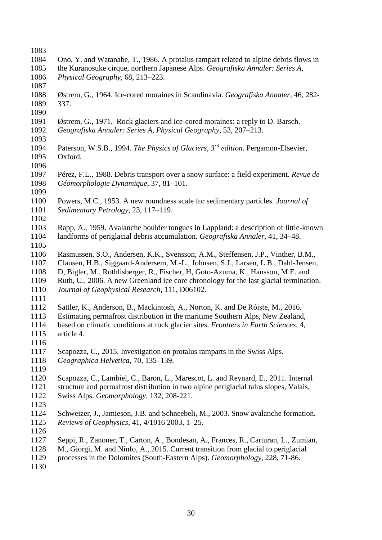| 1083 |                                                                                              |
|------|----------------------------------------------------------------------------------------------|
| 1084 | Ono, Y. and Watanabe, T., 1986. A protalus rampart related to alpine debris flows in         |
| 1085 | the Kuranosuke cirque, northern Japanese Alps. Geografiska Annaler: Series A,                |
| 1086 | Physical Geography, 68, 213-223.                                                             |
| 1087 |                                                                                              |
| 1088 | Østrem, G., 1964. Ice-cored moraines in Scandinavia. Geografiska Annaler, 46, 282-           |
| 1089 | 337.                                                                                         |
| 1090 |                                                                                              |
| 1091 | Østrem, G., 1971. Rock glaciers and ice-cored moraines: a reply to D. Barsch.                |
| 1092 | Geografiska Annaler: Series A, Physical Geography, 53, 207–213.                              |
| 1093 |                                                                                              |
| 1094 | Paterson, W.S.B., 1994. The Physics of Glaciers, 3 <sup>rd</sup> edition. Pergamon-Elsevier, |
| 1095 | Oxford.                                                                                      |
| 1096 |                                                                                              |
| 1097 | Pérez, F.L., 1988. Debris transport over a snow surface: a field experiment. Revue de        |
| 1098 | Géomorphologie Dynamique, 37, 81-101.                                                        |
| 1099 |                                                                                              |
| 1100 | Powers, M.C., 1953. A new roundness scale for sedimentary particles. Journal of              |
| 1101 | Sedimentary Petrology, 23, 117-119.                                                          |
| 1102 |                                                                                              |
| 1103 | Rapp, A., 1959. Avalanche boulder tongues in Lappland: a description of little-known         |
| 1104 | landforms of periglacial debris accumulation. Geografiska Annaler, 41, 34–48.                |
| 1105 |                                                                                              |
| 1106 | Rasmussen, S.O., Andersen, K.K., Svensson, A.M., Steffensen, J.P., Vinther, B.M.,            |
| 1107 | Clausen, H.B., Siggaard-Andersem, M.-L., Johnsen, S.J., Larsen, L.B., Dahl-Jensen,           |
| 1108 |                                                                                              |
|      | D, Bigler, M., Rothlisberger, R., Fischer, H. Goto-Azuma, K., Hansson, M.E. and              |
| 1109 | Ruth, U., 2006. A new Greenland ice core chronology for the last glacial termination.        |
| 1110 | Journal of Geophysical Research, 111, D06102.                                                |
| 1111 |                                                                                              |
| 1112 | Sattler, K., Anderson, B., Mackintosh, A., Norton, K. and De Róiste, M., 2016.               |
| 1113 | Estimating permafrost distribution in the maritime Southern Alps, New Zealand,               |
| 1114 | based on climatic conditions at rock glacier sites. Frontiers in Earth Sciences, 4,          |
| 1115 | article 4.                                                                                   |
| 1116 |                                                                                              |
| 1117 | Scapozza, C., 2015. Investigation on protalus ramparts in the Swiss Alps.                    |
| 1118 | Geographica Helvetica, 70, 135-139.                                                          |
| 1119 |                                                                                              |
| 1120 | Scapozza, C., Lambiel, C., Baron, L., Marescot, L. and Reynard, E., 2011. Internal           |
| 1121 | structure and permafrost distribution in two alpine periglacial talus slopes, Valais,        |
| 1122 | Swiss Alps. Geomorphology, 132, 208-221.                                                     |
| 1123 |                                                                                              |
| 1124 | Schweizer, J., Jamieson, J.B. and Schneebeli, M., 2003. Snow avalanche formation.            |
| 1125 | Reviews of Geophysics, 41, 4/1016 2003, 1-25.                                                |
| 1126 |                                                                                              |
| 1127 | Seppi, R., Zanoner, T., Carton, A., Bondesan, A., Frances, R., Carturan, L., Zumian,         |
| 1128 | M., Giorgi, M. and Ninfo, A., 2015. Current transition from glacial to periglacial           |
| 1129 | processes in the Dolomites (South-Eastern Alps). Geomorphology, 228, 71-86.                  |
| 1130 |                                                                                              |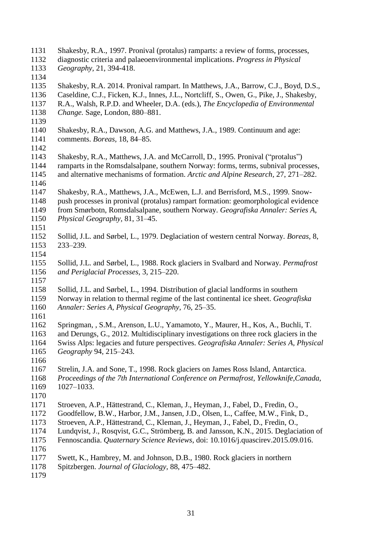| 1131 | Shakesby, R.A., 1997. Pronival (protalus) ramparts: a review of forms, processes,        |
|------|------------------------------------------------------------------------------------------|
| 1132 | diagnostic criteria and palaeoenvironmental implications. Progress in Physical           |
| 1133 | Geography, 21, 394-418.                                                                  |
| 1134 |                                                                                          |
| 1135 | Shakesby, R.A. 2014. Pronival rampart. In Matthews, J.A., Barrow, C.J., Boyd, D.S.,      |
| 1136 | Caseldine, C.J., Ficken, K.J., Innes, J.L., Nortcliff, S., Owen, G., Pike, J., Shakesby, |
| 1137 | R.A., Walsh, R.P.D. and Wheeler, D.A. (eds.), The Encyclopedia of Environmental          |
| 1138 | Change. Sage, London, 880–881.                                                           |
| 1139 |                                                                                          |
| 1140 | Shakesby, R.A., Dawson, A.G. and Matthews, J.A., 1989. Continuum and age:                |
| 1141 | comments. Boreas, 18, 84-85.                                                             |
| 1142 |                                                                                          |
| 1143 | Shakesby, R.A., Matthews, J.A. and McCarroll, D., 1995. Pronival ("protalus")            |
| 1144 | ramparts in the Romsdalsalpane, southern Norway: forms, terms, subnival processes,       |
| 1145 | and alternative mechanisms of formation. Arctic and Alpine Research, 27, 271–282.        |
| 1146 |                                                                                          |
| 1147 | Shakesby, R.A., Matthews, J.A., McEwen, L.J. and Berrisford, M.S., 1999. Snow-           |
| 1148 | push processes in pronival (protalus) rampart formation: geomorphological evidence       |
| 1149 | from Smørbotn, Romsdalsalpane, southern Norway. Geografiska Annaler: Series A,           |
| 1150 | Physical Geography, 81, 31–45.                                                           |
| 1151 |                                                                                          |
| 1152 | Sollid, J.L. and Sørbel, L., 1979. Deglaciation of western central Norway. Boreas, 8,    |
| 1153 | $233 - 239.$                                                                             |
| 1154 |                                                                                          |
| 1155 | Sollid, J.L. and Sørbel, L., 1988. Rock glaciers in Svalbard and Norway. Permafrost      |
| 1156 | and Periglacial Processes, 3, 215–220.                                                   |
| 1157 |                                                                                          |
| 1158 | Sollid, J.L. and Sørbel, L., 1994. Distribution of glacial landforms in southern         |
| 1159 | Norway in relation to thermal regime of the last continental ice sheet. Geografiska      |
| 1160 | Annaler: Series A, Physical Geography, 76, 25–35.                                        |
| 1161 |                                                                                          |
| 1162 | Springman, , S.M., Arenson, L.U., Yamamoto, Y., Maurer, H., Kos, A., Buchli, T.          |
| 1163 | and Derungs, G., 2012. Multidisciplinary investigations on three rock glaciers in the    |
| 1164 | Swiss Alps: legacies and future perspectives. Geografiska Annaler: Series A, Physical    |
| 1165 | Geography 94, 215–243.                                                                   |
| 1166 |                                                                                          |
| 1167 | Strelin, J.A. and Sone, T., 1998. Rock glaciers on James Ross Island, Antarctica.        |
| 1168 | Proceedings of the 7th International Conference on Permafrost, Yellowknife, Canada,      |
| 1169 | $1027 - 1033.$                                                                           |
| 1170 |                                                                                          |
| 1171 | Stroeven, A.P., Hättestrand, C., Kleman, J., Heyman, J., Fabel, D., Fredin, O.,          |
| 1172 | Goodfellow, B.W., Harbor, J.M., Jansen, J.D., Olsen, L., Caffee, M.W., Fink, D.,         |
| 1173 | Stroeven, A.P., Hättestrand, C., Kleman, J., Heyman, J., Fabel, D., Fredin, O.,          |
| 1174 | Lundqvist, J., Rosqvist, G.C., Strömberg, B. and Jansson, K.N., 2015. Deglaciation of    |
| 1175 | Fennoscandia. Quaternary Science Reviews, doi: 10.1016/j.quascirev.2015.09.016.          |
| 1176 |                                                                                          |
| 1177 | Swett, K., Hambrey, M. and Johnson, D.B., 1980. Rock glaciers in northern                |
| 1178 | Spitzbergen. Journal of Glaciology, 88, 475–482.                                         |
| 1179 |                                                                                          |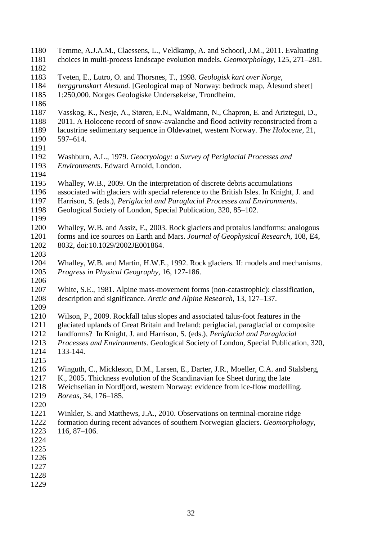Temme, A.J.A.M., Claessens, L., Veldkamp, A. and Schoorl, J.M., 2011. Evaluating choices in multi-process landscape evolution models. *Geomorphology,* 125, 271–281. Tveten, E., Lutro, O. and Thorsnes, T., 1998. *Geologisk kart over Norge, berggrunskart Ålesund.* [Geological map of Norway: bedrock map, Ålesund sheet] 1:250,000. Norges Geologiske Undersøkelse, Trondheim. Vasskog, K., Nesje, A., Støren, E.N., Waldmann, N., Chapron, E. and Ariztegui, D., 2011. A Holocene record of snow-avalanche and flood activity reconstructed from a lacustrine sedimentary sequence in Oldevatnet, western Norway. *The Holocene,* 21, 597–614. Washburn, A.L., 1979. *Geocryology: a Survey of Periglacial Processes and Environments*. Edward Arnold, London. Whalley, W.B., 2009. On the interpretation of discrete debris accumulations associated with glaciers with special reference to the British Isles. In Knight, J. and Harrison, S. (eds.), *Periglacial and Paraglacial Processes and Environments*. Geological Society of London, Special Publication, 320, 85–102. Whalley, W.B. and Assiz, F., 2003. Rock glaciers and protalus landforms: analogous forms and ice sources on Earth and Mars. *Journal of Geophysical Research,* 108, E4, 8032, doi:10.1029/2002JE001864. Whalley, W.B. and Martin, H.W.E., 1992. Rock glaciers. II: models and mechanisms. *Progress in Physical Geography,* 16, 127-186. White, S.E., 1981. Alpine mass-movement forms (non-catastrophic): classification, description and significance. *Arctic and Alpine Research,* 13, 127–137. Wilson, P., 2009. Rockfall talus slopes and associated talus-foot features in the glaciated uplands of Great Britain and Ireland: periglacial, paraglacial or composite landforms? In Knight, J. and Harrison, S. (eds.), *Periglacial and Paraglacial Processes and Environments.* Geological Society of London, Special Publication, 320, 133-144. Winguth, C., Mickleson, D.M., Larsen, E., Darter, J.R., Moeller, C.A. and Stalsberg, K., 2005. Thickness evolution of the Scandinavian Ice Sheet during the late Weichselian in Nordfjord, western Norway: evidence from ice-flow modelling. *Boreas,* 34, 176–185. Winkler, S. and Matthews, J.A., 2010. Observations on terminal-moraine ridge formation during recent advances of southern Norwegian glaciers. *Geomorphology,* 116, 87–106.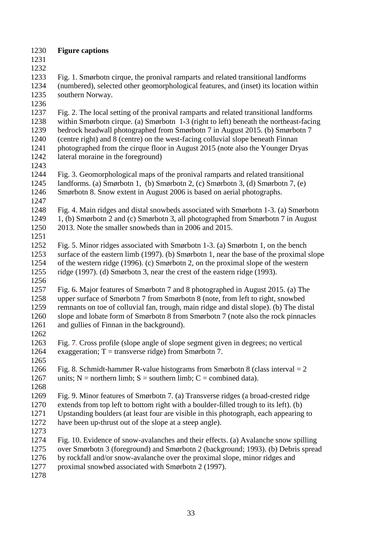**Figure captions**

 

 Fig. 1. Smørbotn cirque, the pronival ramparts and related transitional landforms (numbered), selected other geomorphological features, and (inset) its location within southern Norway.

 Fig. 2. The local setting of the pronival ramparts and related transitional landforms within Smørbotn cirque. (a) Smørbotn 1-3 (right to left) beneath the northeast-facing bedrock headwall photographed from Smørbotn 7 in August 2015. (b) Smørbotn 7 (centre right) and 8 (centre) on the west-facing colluvial slope beneath Finnan photographed from the cirque floor in August 2015 (note also the Younger Dryas lateral moraine in the foreground)

 Fig. 3. Geomorphological maps of the pronival ramparts and related transitional landforms. (a) Smørbotn 1, (b) Smørbotn 2, (c) Smørbotn 3, (d) Smørbotn 7, (e) Smørbotn 8. Snow extent in August 2006 is based on aerial photographs. 

 Fig. 4. Main ridges and distal snowbeds associated with Smørbotn 1-3. (a) Smørbotn 1, (b) Smørbotn 2 and (c) Smørbotn 3, all photographed from Smørbotn 7 in August 2013. Note the smaller snowbeds than in 2006 and 2015.

 Fig. 5. Minor ridges associated with Smørbotn 1-3. (a) Smørbotn 1, on the bench surface of the eastern limb (1997). (b) Smørbotn 1, near the base of the proximal slope of the western ridge (1996). (c) Smørbotn 2, on the proximal slope of the western ridge (1997). (d) Smørbotn 3, near the crest of the eastern ridge (1993). 

 Fig. 6**.** Major features of Smørbotn 7 and 8 photographed in August 2015. (a) The upper surface of Smørbotn 7 from Smørbotn 8 (note, from left to right, snowbed remnants on toe of colluvial fan, trough, main ridge and distal slope). (b) The distal slope and lobate form of Smørbotn 8 from Smørbotn 7 (note also the rock pinnacles and gullies of Finnan in the background).

 Fig. 7. Cross profile (slope angle of slope segment given in degrees; no vertical 1264 exaggeration;  $T = \text{transverse ridge}$  from Smørbotn 7.

1266 Fig. 8. Schmidt-hammer R-value histograms from Smørbotn 8 (class interval  $= 2$ ) 1267 units;  $N =$  northern limb;  $S =$  southern limb;  $C =$  combined data). 

 Fig. 9. Minor features of Smørbotn 7. (a) Transverse ridges (a broad-crested ridge extends from top left to bottom right with a boulder-filled trough to its left). (b) Upstanding boulders (at least four are visible in this photograph, each appearing to have been up-thrust out of the slope at a steep angle).

 Fig. 10. Evidence of snow-avalanches and their effects. (a) Avalanche snow spilling over Smørbotn 3 (foreground) and Smørbotn 2 (background; 1993). (b) Debris spread by rockfall and/or snow-avalanche over the proximal slope, minor ridges and proximal snowbed associated with Smørbotn 2 (1997).